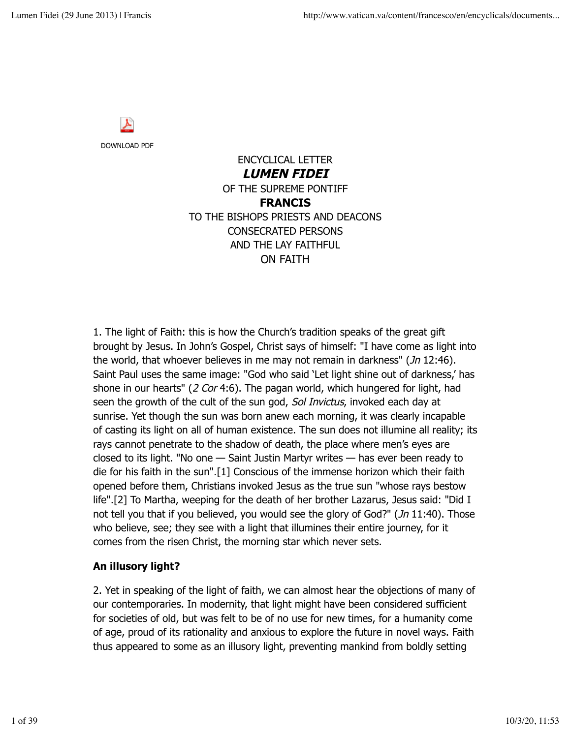

ENCYCLICAL LETTER **LUMEN FIDEI** OF THE SUPREME PONTIFF **FRANCIS** TO THE BISHOPS PRIESTS AND DEACONS CONSECRATED PERSONS AND THE LAY FAITHFUL ON FAITH

1. The light of Faith: this is how the Church's tradition speaks of the great gift brought by Jesus. In John's Gospel, Christ says of himself: "I have come as light into the world, that whoever believes in me may not remain in darkness"  $(Jn 12:46)$ . Saint Paul uses the same image: "God who said 'Let light shine out of darkness,' has shone in our hearts" (2 Cor 4:6). The pagan world, which hungered for light, had seen the growth of the cult of the sun god, Sol Invictus, invoked each day at sunrise. Yet though the sun was born anew each morning, it was clearly incapable of casting its light on all of human existence. The sun does not illumine all reality; its rays cannot penetrate to the shadow of death, the place where men's eyes are closed to its light. "No one — Saint Justin Martyr writes — has ever been ready to die for his faith in the sun".[1] Conscious of the immense horizon which their faith opened before them, Christians invoked Jesus as the true sun "whose rays bestow life".[2] To Martha, weeping for the death of her brother Lazarus, Jesus said: "Did I not tell you that if you believed, you would see the glory of God?"  $(Jn 11:40)$ . Those who believe, see; they see with a light that illumines their entire journey, for it comes from the risen Christ, the morning star which never sets.

## **An illusory light?**

2. Yet in speaking of the light of faith, we can almost hear the objections of many of our contemporaries. In modernity, that light might have been considered sufficient for societies of old, but was felt to be of no use for new times, for a humanity come of age, proud of its rationality and anxious to explore the future in novel ways. Faith thus appeared to some as an illusory light, preventing mankind from boldly setting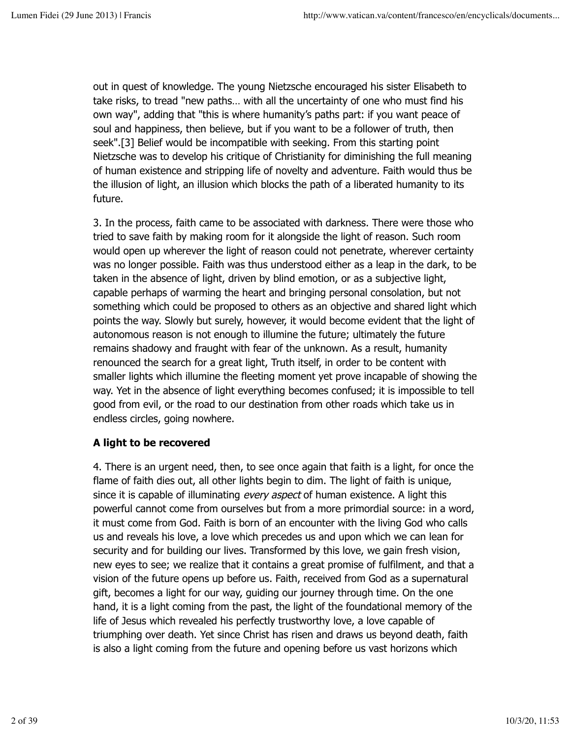out in quest of knowledge. The young Nietzsche encouraged his sister Elisabeth to take risks, to tread "new paths… with all the uncertainty of one who must find his own way", adding that "this is where humanity's paths part: if you want peace of soul and happiness, then believe, but if you want to be a follower of truth, then seek".[3] Belief would be incompatible with seeking. From this starting point Nietzsche was to develop his critique of Christianity for diminishing the full meaning of human existence and stripping life of novelty and adventure. Faith would thus be the illusion of light, an illusion which blocks the path of a liberated humanity to its future.

3. In the process, faith came to be associated with darkness. There were those who tried to save faith by making room for it alongside the light of reason. Such room would open up wherever the light of reason could not penetrate, wherever certainty was no longer possible. Faith was thus understood either as a leap in the dark, to be taken in the absence of light, driven by blind emotion, or as a subjective light, capable perhaps of warming the heart and bringing personal consolation, but not something which could be proposed to others as an objective and shared light which points the way. Slowly but surely, however, it would become evident that the light of autonomous reason is not enough to illumine the future; ultimately the future remains shadowy and fraught with fear of the unknown. As a result, humanity renounced the search for a great light, Truth itself, in order to be content with smaller lights which illumine the fleeting moment yet prove incapable of showing the way. Yet in the absence of light everything becomes confused; it is impossible to tell good from evil, or the road to our destination from other roads which take us in endless circles, going nowhere.

#### **A light to be recovered**

4. There is an urgent need, then, to see once again that faith is a light, for once the flame of faith dies out, all other lights begin to dim. The light of faith is unique, since it is capable of illuminating every aspect of human existence. A light this powerful cannot come from ourselves but from a more primordial source: in a word, it must come from God. Faith is born of an encounter with the living God who calls us and reveals his love, a love which precedes us and upon which we can lean for security and for building our lives. Transformed by this love, we gain fresh vision, new eyes to see; we realize that it contains a great promise of fulfilment, and that a vision of the future opens up before us. Faith, received from God as a supernatural gift, becomes a light for our way, guiding our journey through time. On the one hand, it is a light coming from the past, the light of the foundational memory of the life of Jesus which revealed his perfectly trustworthy love, a love capable of triumphing over death. Yet since Christ has risen and draws us beyond death, faith is also a light coming from the future and opening before us vast horizons which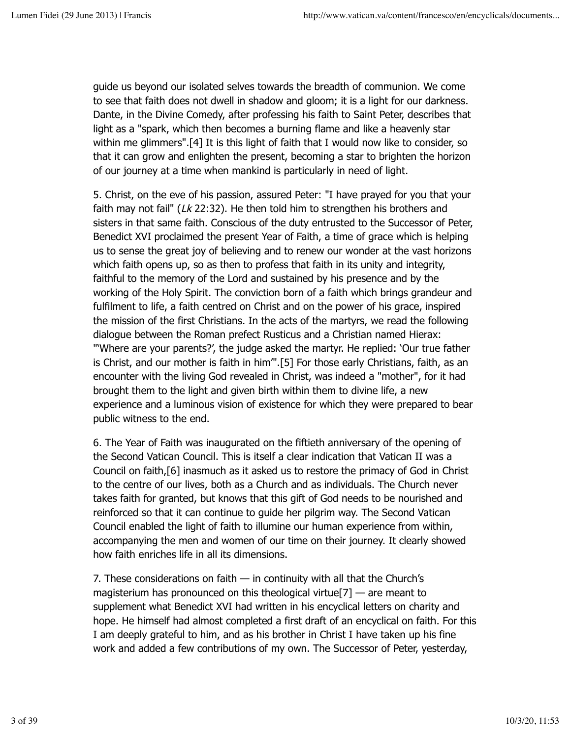guide us beyond our isolated selves towards the breadth of communion. We come to see that faith does not dwell in shadow and gloom; it is a light for our darkness. Dante, in the Divine Comedy, after professing his faith to Saint Peter, describes that light as a "spark, which then becomes a burning flame and like a heavenly star within me glimmers".[4] It is this light of faith that I would now like to consider, so that it can grow and enlighten the present, becoming a star to brighten the horizon of our journey at a time when mankind is particularly in need of light.

5. Christ, on the eve of his passion, assured Peter: "I have prayed for you that your faith may not fail" ( $Lk$  22:32). He then told him to strengthen his brothers and sisters in that same faith. Conscious of the duty entrusted to the Successor of Peter, Benedict XVI proclaimed the present Year of Faith, a time of grace which is helping us to sense the great joy of believing and to renew our wonder at the vast horizons which faith opens up, so as then to profess that faith in its unity and integrity, faithful to the memory of the Lord and sustained by his presence and by the working of the Holy Spirit. The conviction born of a faith which brings grandeur and fulfilment to life, a faith centred on Christ and on the power of his grace, inspired the mission of the first Christians. In the acts of the martyrs, we read the following dialogue between the Roman prefect Rusticus and a Christian named Hierax: "'Where are your parents?', the judge asked the martyr. He replied: 'Our true father is Christ, and our mother is faith in him'".[5] For those early Christians, faith, as an encounter with the living God revealed in Christ, was indeed a "mother", for it had brought them to the light and given birth within them to divine life, a new experience and a luminous vision of existence for which they were prepared to bear public witness to the end.

6. The Year of Faith was inaugurated on the fiftieth anniversary of the opening of the Second Vatican Council. This is itself a clear indication that Vatican II was a Council on faith,[6] inasmuch as it asked us to restore the primacy of God in Christ to the centre of our lives, both as a Church and as individuals. The Church never takes faith for granted, but knows that this gift of God needs to be nourished and reinforced so that it can continue to guide her pilgrim way. The Second Vatican Council enabled the light of faith to illumine our human experience from within, accompanying the men and women of our time on their journey. It clearly showed how faith enriches life in all its dimensions.

7. These considerations on faith  $-$  in continuity with all that the Church's magisterium has pronounced on this theological virtue[7] — are meant to supplement what Benedict XVI had written in his encyclical letters on charity and hope. He himself had almost completed a first draft of an encyclical on faith. For this I am deeply grateful to him, and as his brother in Christ I have taken up his fine work and added a few contributions of my own. The Successor of Peter, yesterday,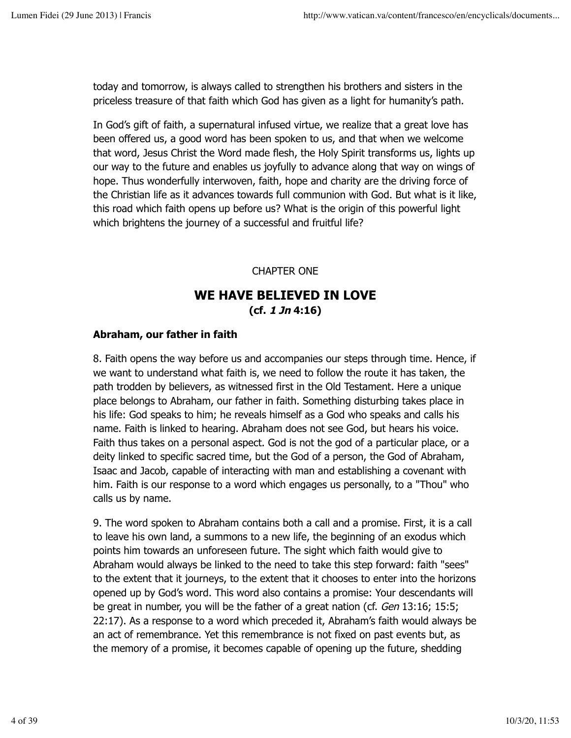today and tomorrow, is always called to strengthen his brothers and sisters in the priceless treasure of that faith which God has given as a light for humanity's path.

In God's gift of faith, a supernatural infused virtue, we realize that a great love has been offered us, a good word has been spoken to us, and that when we welcome that word, Jesus Christ the Word made flesh, the Holy Spirit transforms us, lights up our way to the future and enables us joyfully to advance along that way on wings of hope. Thus wonderfully interwoven, faith, hope and charity are the driving force of the Christian life as it advances towards full communion with God. But what is it like, this road which faith opens up before us? What is the origin of this powerful light which brightens the journey of a successful and fruitful life?

#### CHAPTER ONE

## **WE HAVE BELIEVED IN LOVE (cf. 1 Jn 4:16)**

#### **Abraham, our father in faith**

8. Faith opens the way before us and accompanies our steps through time. Hence, if we want to understand what faith is, we need to follow the route it has taken, the path trodden by believers, as witnessed first in the Old Testament. Here a unique place belongs to Abraham, our father in faith. Something disturbing takes place in his life: God speaks to him; he reveals himself as a God who speaks and calls his name. Faith is linked to hearing. Abraham does not see God, but hears his voice. Faith thus takes on a personal aspect. God is not the god of a particular place, or a deity linked to specific sacred time, but the God of a person, the God of Abraham, Isaac and Jacob, capable of interacting with man and establishing a covenant with him. Faith is our response to a word which engages us personally, to a "Thou" who calls us by name.

9. The word spoken to Abraham contains both a call and a promise. First, it is a call to leave his own land, a summons to a new life, the beginning of an exodus which points him towards an unforeseen future. The sight which faith would give to Abraham would always be linked to the need to take this step forward: faith "sees" to the extent that it journeys, to the extent that it chooses to enter into the horizons opened up by God's word. This word also contains a promise: Your descendants will be great in number, you will be the father of a great nation (cf. Gen 13:16; 15:5; 22:17). As a response to a word which preceded it, Abraham's faith would always be an act of remembrance. Yet this remembrance is not fixed on past events but, as the memory of a promise, it becomes capable of opening up the future, shedding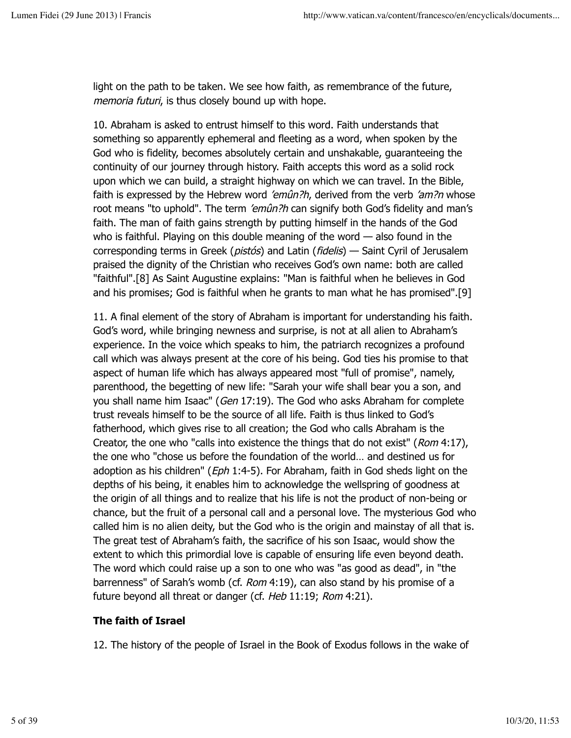light on the path to be taken. We see how faith, as remembrance of the future, memoria futuri, is thus closely bound up with hope.

10. Abraham is asked to entrust himself to this word. Faith understands that something so apparently ephemeral and fleeting as a word, when spoken by the God who is fidelity, becomes absolutely certain and unshakable, guaranteeing the continuity of our journey through history. Faith accepts this word as a solid rock upon which we can build, a straight highway on which we can travel. In the Bible, faith is expressed by the Hebrew word 'emûn?h, derived from the verb 'am?n whose root means "to uphold". The term 'emûn?h can signify both God's fidelity and man's faith. The man of faith gains strength by putting himself in the hands of the God who is faithful. Playing on this double meaning of the word — also found in the corresponding terms in Greek (pistós) and Latin (fidelis) — Saint Cyril of Jerusalem praised the dignity of the Christian who receives God's own name: both are called "faithful".[8] As Saint Augustine explains: "Man is faithful when he believes in God and his promises; God is faithful when he grants to man what he has promised".[9]

11. A final element of the story of Abraham is important for understanding his faith. God's word, while bringing newness and surprise, is not at all alien to Abraham's experience. In the voice which speaks to him, the patriarch recognizes a profound call which was always present at the core of his being. God ties his promise to that aspect of human life which has always appeared most "full of promise", namely, parenthood, the begetting of new life: "Sarah your wife shall bear you a son, and you shall name him Isaac" (Gen 17:19). The God who asks Abraham for complete trust reveals himself to be the source of all life. Faith is thus linked to God's fatherhood, which gives rise to all creation; the God who calls Abraham is the Creator, the one who "calls into existence the things that do not exist" (Rom 4:17), the one who "chose us before the foundation of the world… and destined us for adoption as his children" (*Eph* 1:4-5). For Abraham, faith in God sheds light on the depths of his being, it enables him to acknowledge the wellspring of goodness at the origin of all things and to realize that his life is not the product of non-being or chance, but the fruit of a personal call and a personal love. The mysterious God who called him is no alien deity, but the God who is the origin and mainstay of all that is. The great test of Abraham's faith, the sacrifice of his son Isaac, would show the extent to which this primordial love is capable of ensuring life even beyond death. The word which could raise up a son to one who was "as good as dead", in "the barrenness" of Sarah's womb (cf. Rom 4:19), can also stand by his promise of a future beyond all threat or danger (cf. Heb 11:19; Rom 4:21).

## **The faith of Israel**

12. The history of the people of Israel in the Book of Exodus follows in the wake of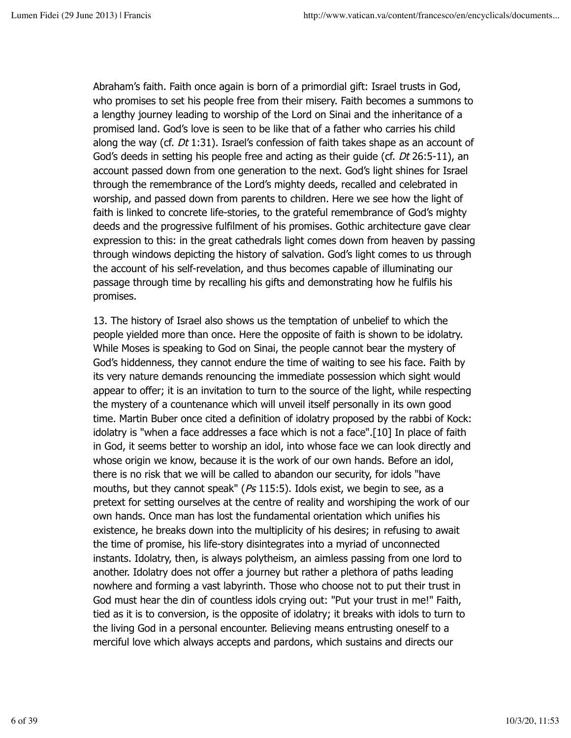Abraham's faith. Faith once again is born of a primordial gift: Israel trusts in God, who promises to set his people free from their misery. Faith becomes a summons to a lengthy journey leading to worship of the Lord on Sinai and the inheritance of a promised land. God's love is seen to be like that of a father who carries his child along the way (cf.  $Dt$  1:31). Israel's confession of faith takes shape as an account of God's deeds in setting his people free and acting as their guide (cf. *Dt* 26:5-11), an account passed down from one generation to the next. God's light shines for Israel through the remembrance of the Lord's mighty deeds, recalled and celebrated in worship, and passed down from parents to children. Here we see how the light of faith is linked to concrete life-stories, to the grateful remembrance of God's mighty deeds and the progressive fulfilment of his promises. Gothic architecture gave clear expression to this: in the great cathedrals light comes down from heaven by passing through windows depicting the history of salvation. God's light comes to us through the account of his self-revelation, and thus becomes capable of illuminating our passage through time by recalling his gifts and demonstrating how he fulfils his promises.

13. The history of Israel also shows us the temptation of unbelief to which the people yielded more than once. Here the opposite of faith is shown to be idolatry. While Moses is speaking to God on Sinai, the people cannot bear the mystery of God's hiddenness, they cannot endure the time of waiting to see his face. Faith by its very nature demands renouncing the immediate possession which sight would appear to offer; it is an invitation to turn to the source of the light, while respecting the mystery of a countenance which will unveil itself personally in its own good time. Martin Buber once cited a definition of idolatry proposed by the rabbi of Kock: idolatry is "when a face addresses a face which is not a face".[10] In place of faith in God, it seems better to worship an idol, into whose face we can look directly and whose origin we know, because it is the work of our own hands. Before an idol, there is no risk that we will be called to abandon our security, for idols "have mouths, but they cannot speak" ( $Ps$  115:5). Idols exist, we begin to see, as a pretext for setting ourselves at the centre of reality and worshiping the work of our own hands. Once man has lost the fundamental orientation which unifies his existence, he breaks down into the multiplicity of his desires; in refusing to await the time of promise, his life-story disintegrates into a myriad of unconnected instants. Idolatry, then, is always polytheism, an aimless passing from one lord to another. Idolatry does not offer a journey but rather a plethora of paths leading nowhere and forming a vast labyrinth. Those who choose not to put their trust in God must hear the din of countless idols crying out: "Put your trust in me!" Faith, tied as it is to conversion, is the opposite of idolatry; it breaks with idols to turn to the living God in a personal encounter. Believing means entrusting oneself to a merciful love which always accepts and pardons, which sustains and directs our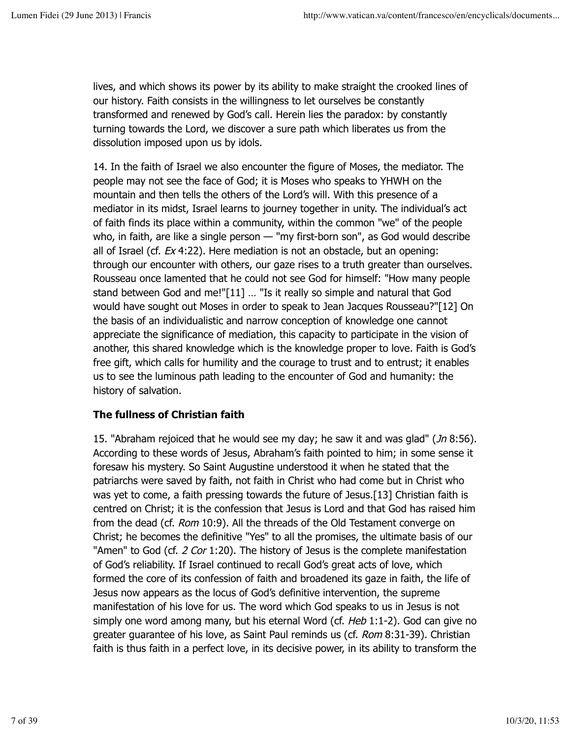lives, and which shows its power by its ability to make straight the crooked lines of our history. Faith consists in the willingness to let ourselves be constantly transformed and renewed by God's call. Herein lies the paradox: by constantly turning towards the Lord, we discover a sure path which liberates us from the dissolution imposed upon us by idols.

14. In the faith of Israel we also encounter the figure of Moses, the mediator. The people may not see the face of God; it is Moses who speaks to YHWH on the mountain and then tells the others of the Lord's will. With this presence of a mediator in its midst, Israel learns to journey together in unity. The individual's act of faith finds its place within a community, within the common "we" of the people who, in faith, are like a single person — "my first-born son", as God would describe all of Israel (cf.  $Ex$  4:22). Here mediation is not an obstacle, but an opening: through our encounter with others, our gaze rises to a truth greater than ourselves. Rousseau once lamented that he could not see God for himself: "How many people stand between God and me!"[11] … "Is it really so simple and natural that God would have sought out Moses in order to speak to Jean Jacques Rousseau?"[12] On the basis of an individualistic and narrow conception of knowledge one cannot appreciate the significance of mediation, this capacity to participate in the vision of another, this shared knowledge which is the knowledge proper to love. Faith is God's free gift, which calls for humility and the courage to trust and to entrust; it enables us to see the luminous path leading to the encounter of God and humanity: the history of salvation.

#### **The fullness of Christian faith**

15. "Abraham rejoiced that he would see my day; he saw it and was glad"  $(Jn 8:56)$ . According to these words of Jesus, Abraham's faith pointed to him; in some sense it foresaw his mystery. So Saint Augustine understood it when he stated that the patriarchs were saved by faith, not faith in Christ who had come but in Christ who was yet to come, a faith pressing towards the future of Jesus.[13] Christian faith is centred on Christ; it is the confession that Jesus is Lord and that God has raised him from the dead (cf. Rom 10:9). All the threads of the Old Testament converge on Christ; he becomes the definitive "Yes" to all the promises, the ultimate basis of our "Amen" to God (cf. 2 Cor 1:20). The history of Jesus is the complete manifestation of God's reliability. If Israel continued to recall God's great acts of love, which formed the core of its confession of faith and broadened its gaze in faith, the life of Jesus now appears as the locus of God's definitive intervention, the supreme manifestation of his love for us. The word which God speaks to us in Jesus is not simply one word among many, but his eternal Word (cf.  $Heb$  1:1-2). God can give no greater guarantee of his love, as Saint Paul reminds us (cf. Rom 8:31-39). Christian faith is thus faith in a perfect love, in its decisive power, in its ability to transform the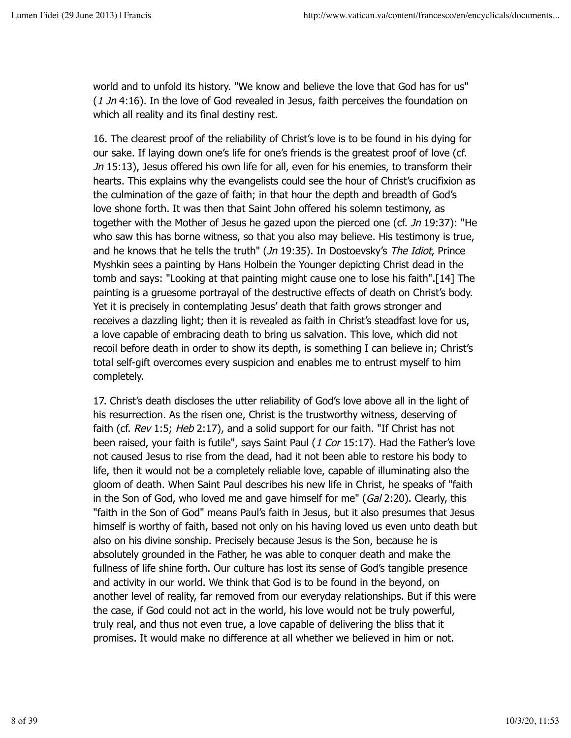world and to unfold its history. "We know and believe the love that God has for us"  $(1 Jn 4:16)$ . In the love of God revealed in Jesus, faith perceives the foundation on which all reality and its final destiny rest.

16. The clearest proof of the reliability of Christ's love is to be found in his dying for our sake. If laying down one's life for one's friends is the greatest proof of love (cf.  $Jn$  15:13), Jesus offered his own life for all, even for his enemies, to transform their hearts. This explains why the evangelists could see the hour of Christ's crucifixion as the culmination of the gaze of faith; in that hour the depth and breadth of God's love shone forth. It was then that Saint John offered his solemn testimony, as together with the Mother of Jesus he gazed upon the pierced one (cf. Jn 19:37): "He who saw this has borne witness, so that you also may believe. His testimony is true, and he knows that he tells the truth" (Jn 19:35). In Dostoevsky's The Idiot, Prince Myshkin sees a painting by Hans Holbein the Younger depicting Christ dead in the tomb and says: "Looking at that painting might cause one to lose his faith".[14] The painting is a gruesome portrayal of the destructive effects of death on Christ's body. Yet it is precisely in contemplating Jesus' death that faith grows stronger and receives a dazzling light; then it is revealed as faith in Christ's steadfast love for us, a love capable of embracing death to bring us salvation. This love, which did not recoil before death in order to show its depth, is something I can believe in; Christ's total self-gift overcomes every suspicion and enables me to entrust myself to him completely.

17. Christ's death discloses the utter reliability of God's love above all in the light of his resurrection. As the risen one, Christ is the trustworthy witness, deserving of faith (cf. Rev 1:5; Heb 2:17), and a solid support for our faith. "If Christ has not been raised, your faith is futile", says Saint Paul (1 Cor 15:17). Had the Father's love not caused Jesus to rise from the dead, had it not been able to restore his body to life, then it would not be a completely reliable love, capable of illuminating also the gloom of death. When Saint Paul describes his new life in Christ, he speaks of "faith in the Son of God, who loved me and gave himself for me" (Gal 2:20). Clearly, this "faith in the Son of God" means Paul's faith in Jesus, but it also presumes that Jesus himself is worthy of faith, based not only on his having loved us even unto death but also on his divine sonship. Precisely because Jesus is the Son, because he is absolutely grounded in the Father, he was able to conquer death and make the fullness of life shine forth. Our culture has lost its sense of God's tangible presence and activity in our world. We think that God is to be found in the beyond, on another level of reality, far removed from our everyday relationships. But if this were the case, if God could not act in the world, his love would not be truly powerful, truly real, and thus not even true, a love capable of delivering the bliss that it promises. It would make no difference at all whether we believed in him or not.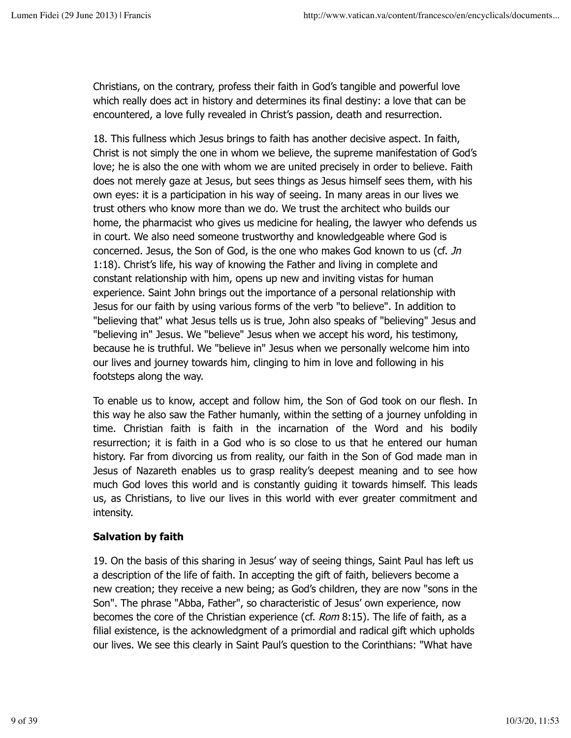Christians, on the contrary, profess their faith in God's tangible and powerful love which really does act in history and determines its final destiny: a love that can be encountered, a love fully revealed in Christ's passion, death and resurrection.

18. This fullness which Jesus brings to faith has another decisive aspect. In faith, Christ is not simply the one in whom we believe, the supreme manifestation of God's love; he is also the one with whom we are united precisely in order to believe. Faith does not merely gaze at Jesus, but sees things as Jesus himself sees them, with his own eyes: it is a participation in his way of seeing. In many areas in our lives we trust others who know more than we do. We trust the architect who builds our home, the pharmacist who gives us medicine for healing, the lawyer who defends us in court. We also need someone trustworthy and knowledgeable where God is concerned. Jesus, the Son of God, is the one who makes God known to us (cf. Jn 1:18). Christ's life, his way of knowing the Father and living in complete and constant relationship with him, opens up new and inviting vistas for human experience. Saint John brings out the importance of a personal relationship with Jesus for our faith by using various forms of the verb "to believe". In addition to "believing that" what Jesus tells us is true, John also speaks of "believing" Jesus and "believing in" Jesus. We "believe" Jesus when we accept his word, his testimony, because he is truthful. We "believe in" Jesus when we personally welcome him into our lives and journey towards him, clinging to him in love and following in his footsteps along the way.

To enable us to know, accept and follow him, the Son of God took on our flesh. In this way he also saw the Father humanly, within the setting of a journey unfolding in time. Christian faith is faith in the incarnation of the Word and his bodily resurrection; it is faith in a God who is so close to us that he entered our human history. Far from divorcing us from reality, our faith in the Son of God made man in Jesus of Nazareth enables us to grasp reality's deepest meaning and to see how much God loves this world and is constantly guiding it towards himself. This leads us, as Christians, to live our lives in this world with ever greater commitment and intensity.

#### **Salvation by faith**

19. On the basis of this sharing in Jesus' way of seeing things, Saint Paul has left us a description of the life of faith. In accepting the gift of faith, believers become a new creation; they receive a new being; as God's children, they are now "sons in the Son". The phrase "Abba, Father", so characteristic of Jesus' own experience, now becomes the core of the Christian experience (cf. Rom 8:15). The life of faith, as a filial existence, is the acknowledgment of a primordial and radical gift which upholds our lives. We see this clearly in Saint Paul's question to the Corinthians: "What have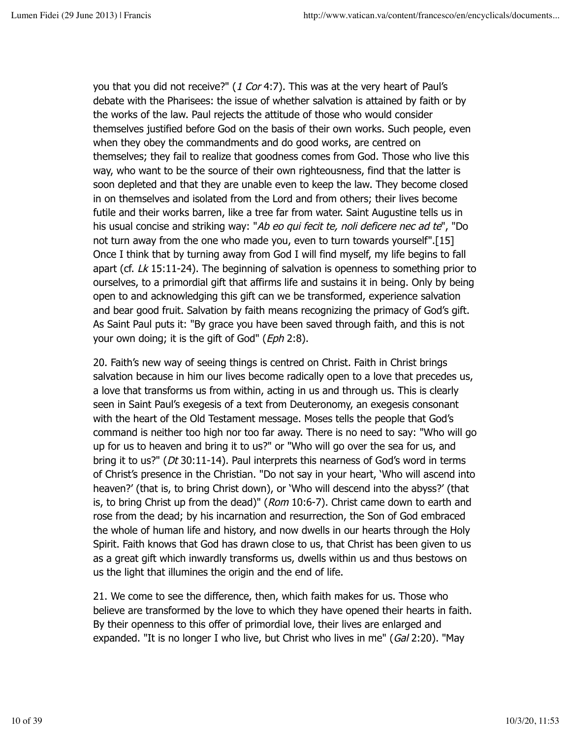you that you did not receive?" (1 Cor 4:7). This was at the very heart of Paul's debate with the Pharisees: the issue of whether salvation is attained by faith or by the works of the law. Paul rejects the attitude of those who would consider themselves justified before God on the basis of their own works. Such people, even when they obey the commandments and do good works, are centred on themselves; they fail to realize that goodness comes from God. Those who live this way, who want to be the source of their own righteousness, find that the latter is soon depleted and that they are unable even to keep the law. They become closed in on themselves and isolated from the Lord and from others; their lives become futile and their works barren, like a tree far from water. Saint Augustine tells us in his usual concise and striking way: "Ab eo qui fecit te, noli deficere nec ad te", "Do not turn away from the one who made you, even to turn towards yourself".[15] Once I think that by turning away from God I will find myself, my life begins to fall apart (cf.  $Lk$  15:11-24). The beginning of salvation is openness to something prior to ourselves, to a primordial gift that affirms life and sustains it in being. Only by being open to and acknowledging this gift can we be transformed, experience salvation and bear good fruit. Salvation by faith means recognizing the primacy of God's gift. As Saint Paul puts it: "By grace you have been saved through faith, and this is not your own doing; it is the gift of God" (*Eph* 2:8).

20. Faith's new way of seeing things is centred on Christ. Faith in Christ brings salvation because in him our lives become radically open to a love that precedes us, a love that transforms us from within, acting in us and through us. This is clearly seen in Saint Paul's exegesis of a text from Deuteronomy, an exegesis consonant with the heart of the Old Testament message. Moses tells the people that God's command is neither too high nor too far away. There is no need to say: "Who will go up for us to heaven and bring it to us?" or "Who will go over the sea for us, and bring it to us?" (Dt 30:11-14). Paul interprets this nearness of God's word in terms of Christ's presence in the Christian. "Do not say in your heart, 'Who will ascend into heaven?' (that is, to bring Christ down), or 'Who will descend into the abyss?' (that is, to bring Christ up from the dead)" (Rom 10:6-7). Christ came down to earth and rose from the dead; by his incarnation and resurrection, the Son of God embraced the whole of human life and history, and now dwells in our hearts through the Holy Spirit. Faith knows that God has drawn close to us, that Christ has been given to us as a great gift which inwardly transforms us, dwells within us and thus bestows on us the light that illumines the origin and the end of life.

21. We come to see the difference, then, which faith makes for us. Those who believe are transformed by the love to which they have opened their hearts in faith. By their openness to this offer of primordial love, their lives are enlarged and expanded. "It is no longer I who live, but Christ who lives in me" (Gal 2:20). "May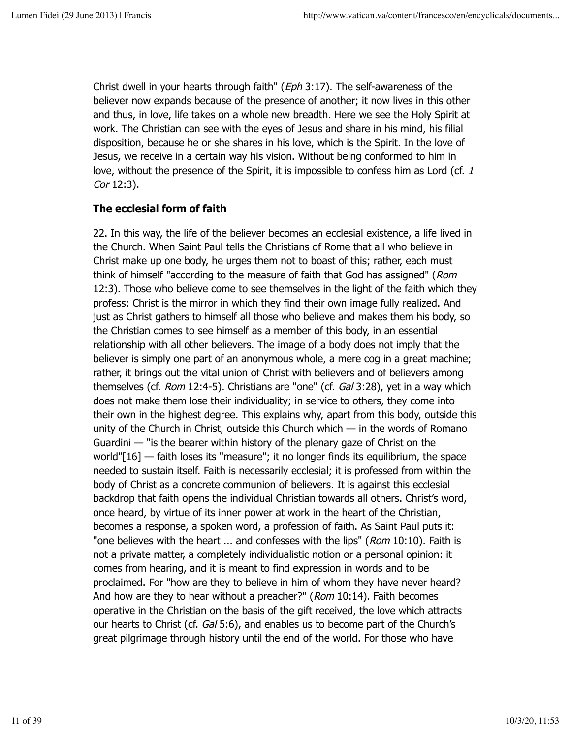Christ dwell in your hearts through faith" (*Eph* 3:17). The self-awareness of the believer now expands because of the presence of another; it now lives in this other and thus, in love, life takes on a whole new breadth. Here we see the Holy Spirit at work. The Christian can see with the eyes of Jesus and share in his mind, his filial disposition, because he or she shares in his love, which is the Spirit. In the love of Jesus, we receive in a certain way his vision. Without being conformed to him in love, without the presence of the Spirit, it is impossible to confess him as Lord (cf. 1) Cor 12:3).

#### **The ecclesial form of faith**

22. In this way, the life of the believer becomes an ecclesial existence, a life lived in the Church. When Saint Paul tells the Christians of Rome that all who believe in Christ make up one body, he urges them not to boast of this; rather, each must think of himself "according to the measure of faith that God has assigned" (Rom 12:3). Those who believe come to see themselves in the light of the faith which they profess: Christ is the mirror in which they find their own image fully realized. And just as Christ gathers to himself all those who believe and makes them his body, so the Christian comes to see himself as a member of this body, in an essential relationship with all other believers. The image of a body does not imply that the believer is simply one part of an anonymous whole, a mere cog in a great machine; rather, it brings out the vital union of Christ with believers and of believers among themselves (cf. Rom 12:4-5). Christians are "one" (cf. Gal 3:28), yet in a way which does not make them lose their individuality; in service to others, they come into their own in the highest degree. This explains why, apart from this body, outside this unity of the Church in Christ, outside this Church which  $-$  in the words of Romano Guardini — "is the bearer within history of the plenary gaze of Christ on the world"[16] — faith loses its "measure"; it no longer finds its equilibrium, the space needed to sustain itself. Faith is necessarily ecclesial; it is professed from within the body of Christ as a concrete communion of believers. It is against this ecclesial backdrop that faith opens the individual Christian towards all others. Christ's word, once heard, by virtue of its inner power at work in the heart of the Christian, becomes a response, a spoken word, a profession of faith. As Saint Paul puts it: "one believes with the heart ... and confesses with the lips" (Rom 10:10). Faith is not a private matter, a completely individualistic notion or a personal opinion: it comes from hearing, and it is meant to find expression in words and to be proclaimed. For "how are they to believe in him of whom they have never heard? And how are they to hear without a preacher?" (Rom 10:14). Faith becomes operative in the Christian on the basis of the gift received, the love which attracts our hearts to Christ (cf. Gal 5:6), and enables us to become part of the Church's great pilgrimage through history until the end of the world. For those who have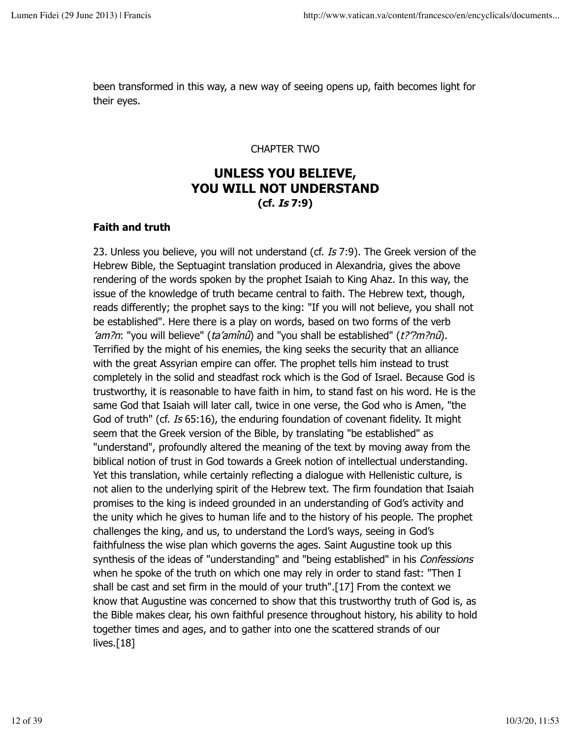been transformed in this way, a new way of seeing opens up, faith becomes light for their eyes.

CHAPTER TWO

## **UNLESS YOU BELIEVE, YOU WILL NOT UNDERSTAND (cf. Is 7:9)**

#### **Faith and truth**

23. Unless you believe, you will not understand (cf. Is 7:9). The Greek version of the Hebrew Bible, the Septuagint translation produced in Alexandria, gives the above rendering of the words spoken by the prophet Isaiah to King Ahaz. In this way, the issue of the knowledge of truth became central to faith. The Hebrew text, though, reads differently; the prophet says to the king: "If you will not believe, you shall not be established". Here there is a play on words, based on two forms of the verb 'am?n: "you will believe" (ta'amînû) and "you shall be established" (t?'?m?nû). Terrified by the might of his enemies, the king seeks the security that an alliance with the great Assyrian empire can offer. The prophet tells him instead to trust completely in the solid and steadfast rock which is the God of Israel. Because God is trustworthy, it is reasonable to have faith in him, to stand fast on his word. He is the same God that Isaiah will later call, twice in one verse, the God who is Amen, "the God of truth" (cf. *Is* 65:16), the enduring foundation of covenant fidelity. It might seem that the Greek version of the Bible, by translating "be established" as "understand", profoundly altered the meaning of the text by moving away from the biblical notion of trust in God towards a Greek notion of intellectual understanding. Yet this translation, while certainly reflecting a dialogue with Hellenistic culture, is not alien to the underlying spirit of the Hebrew text. The firm foundation that Isaiah promises to the king is indeed grounded in an understanding of God's activity and the unity which he gives to human life and to the history of his people. The prophet challenges the king, and us, to understand the Lord's ways, seeing in God's faithfulness the wise plan which governs the ages. Saint Augustine took up this synthesis of the ideas of "understanding" and "being established" in his *Confessions* when he spoke of the truth on which one may rely in order to stand fast: "Then I shall be cast and set firm in the mould of your truth".[17] From the context we know that Augustine was concerned to show that this trustworthy truth of God is, as the Bible makes clear, his own faithful presence throughout history, his ability to hold together times and ages, and to gather into one the scattered strands of our lives.<sup>[18]</sup>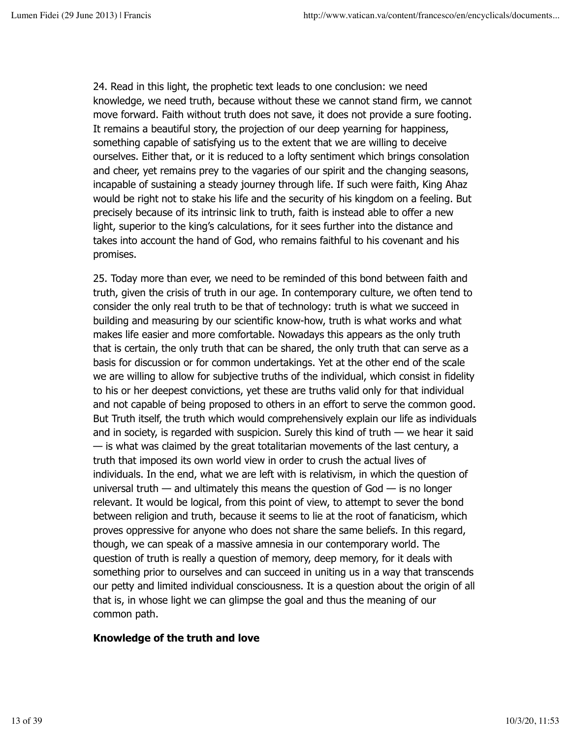24. Read in this light, the prophetic text leads to one conclusion: we need knowledge, we need truth, because without these we cannot stand firm, we cannot move forward. Faith without truth does not save, it does not provide a sure footing. It remains a beautiful story, the projection of our deep yearning for happiness, something capable of satisfying us to the extent that we are willing to deceive ourselves. Either that, or it is reduced to a lofty sentiment which brings consolation and cheer, yet remains prey to the vagaries of our spirit and the changing seasons, incapable of sustaining a steady journey through life. If such were faith, King Ahaz would be right not to stake his life and the security of his kingdom on a feeling. But precisely because of its intrinsic link to truth, faith is instead able to offer a new light, superior to the king's calculations, for it sees further into the distance and takes into account the hand of God, who remains faithful to his covenant and his promises.

25. Today more than ever, we need to be reminded of this bond between faith and truth, given the crisis of truth in our age. In contemporary culture, we often tend to consider the only real truth to be that of technology: truth is what we succeed in building and measuring by our scientific know-how, truth is what works and what makes life easier and more comfortable. Nowadays this appears as the only truth that is certain, the only truth that can be shared, the only truth that can serve as a basis for discussion or for common undertakings. Yet at the other end of the scale we are willing to allow for subjective truths of the individual, which consist in fidelity to his or her deepest convictions, yet these are truths valid only for that individual and not capable of being proposed to others in an effort to serve the common good. But Truth itself, the truth which would comprehensively explain our life as individuals and in society, is regarded with suspicion. Surely this kind of truth  $-$  we hear it said — is what was claimed by the great totalitarian movements of the last century, a truth that imposed its own world view in order to crush the actual lives of individuals. In the end, what we are left with is relativism, in which the question of universal truth  $-$  and ultimately this means the question of God  $-$  is no longer relevant. It would be logical, from this point of view, to attempt to sever the bond between religion and truth, because it seems to lie at the root of fanaticism, which proves oppressive for anyone who does not share the same beliefs. In this regard, though, we can speak of a massive amnesia in our contemporary world. The question of truth is really a question of memory, deep memory, for it deals with something prior to ourselves and can succeed in uniting us in a way that transcends our petty and limited individual consciousness. It is a question about the origin of all that is, in whose light we can glimpse the goal and thus the meaning of our common path.

#### **Knowledge of the truth and love**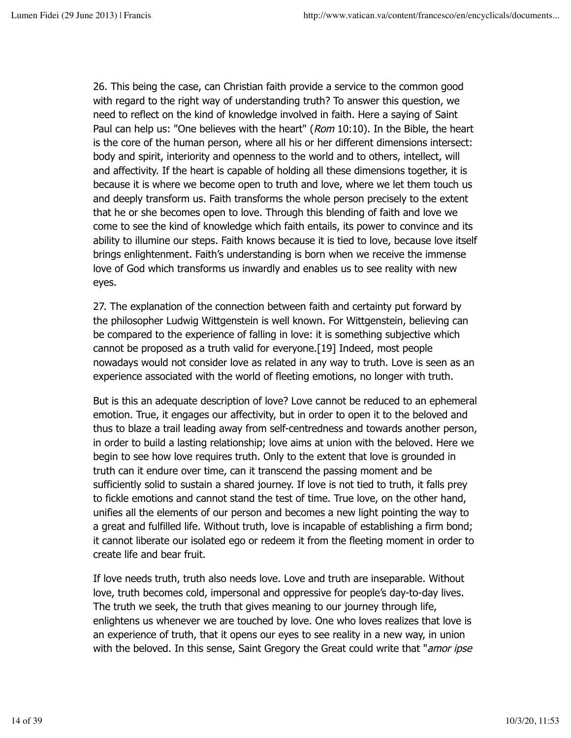26. This being the case, can Christian faith provide a service to the common good with regard to the right way of understanding truth? To answer this question, we need to reflect on the kind of knowledge involved in faith. Here a saying of Saint Paul can help us: "One believes with the heart" (Rom 10:10). In the Bible, the heart is the core of the human person, where all his or her different dimensions intersect: body and spirit, interiority and openness to the world and to others, intellect, will and affectivity. If the heart is capable of holding all these dimensions together, it is because it is where we become open to truth and love, where we let them touch us and deeply transform us. Faith transforms the whole person precisely to the extent that he or she becomes open to love. Through this blending of faith and love we come to see the kind of knowledge which faith entails, its power to convince and its ability to illumine our steps. Faith knows because it is tied to love, because love itself brings enlightenment. Faith's understanding is born when we receive the immense love of God which transforms us inwardly and enables us to see reality with new eyes.

27. The explanation of the connection between faith and certainty put forward by the philosopher Ludwig Wittgenstein is well known. For Wittgenstein, believing can be compared to the experience of falling in love: it is something subjective which cannot be proposed as a truth valid for everyone.[19] Indeed, most people nowadays would not consider love as related in any way to truth. Love is seen as an experience associated with the world of fleeting emotions, no longer with truth.

But is this an adequate description of love? Love cannot be reduced to an ephemeral emotion. True, it engages our affectivity, but in order to open it to the beloved and thus to blaze a trail leading away from self-centredness and towards another person, in order to build a lasting relationship; love aims at union with the beloved. Here we begin to see how love requires truth. Only to the extent that love is grounded in truth can it endure over time, can it transcend the passing moment and be sufficiently solid to sustain a shared journey. If love is not tied to truth, it falls prey to fickle emotions and cannot stand the test of time. True love, on the other hand, unifies all the elements of our person and becomes a new light pointing the way to a great and fulfilled life. Without truth, love is incapable of establishing a firm bond; it cannot liberate our isolated ego or redeem it from the fleeting moment in order to create life and bear fruit.

If love needs truth, truth also needs love. Love and truth are inseparable. Without love, truth becomes cold, impersonal and oppressive for people's day-to-day lives. The truth we seek, the truth that gives meaning to our journey through life, enlightens us whenever we are touched by love. One who loves realizes that love is an experience of truth, that it opens our eyes to see reality in a new way, in union with the beloved. In this sense, Saint Gregory the Great could write that "*amor ipse*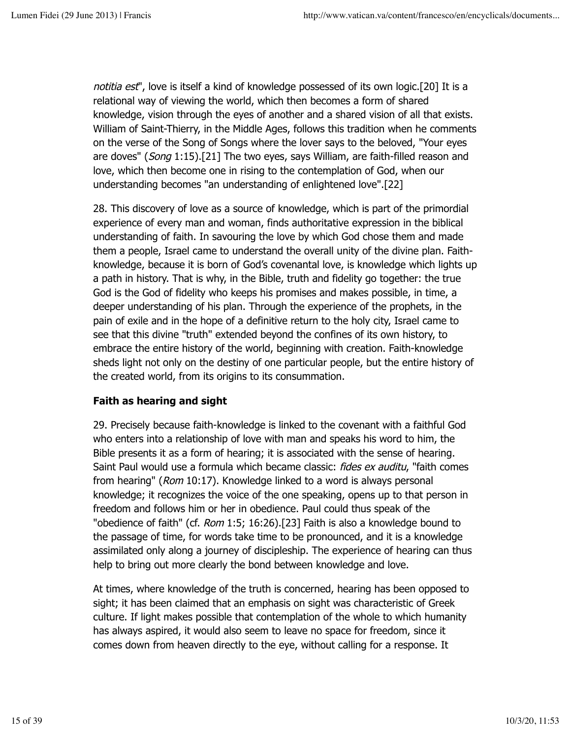notitia est", love is itself a kind of knowledge possessed of its own logic.[20] It is a relational way of viewing the world, which then becomes a form of shared knowledge, vision through the eyes of another and a shared vision of all that exists. William of Saint-Thierry, in the Middle Ages, follows this tradition when he comments on the verse of the Song of Songs where the lover says to the beloved, "Your eyes are doves" (Song 1:15).[21] The two eyes, says William, are faith-filled reason and love, which then become one in rising to the contemplation of God, when our understanding becomes "an understanding of enlightened love".[22]

28. This discovery of love as a source of knowledge, which is part of the primordial experience of every man and woman, finds authoritative expression in the biblical understanding of faith. In savouring the love by which God chose them and made them a people, Israel came to understand the overall unity of the divine plan. Faithknowledge, because it is born of God's covenantal love, is knowledge which lights up a path in history. That is why, in the Bible, truth and fidelity go together: the true God is the God of fidelity who keeps his promises and makes possible, in time, a deeper understanding of his plan. Through the experience of the prophets, in the pain of exile and in the hope of a definitive return to the holy city, Israel came to see that this divine "truth" extended beyond the confines of its own history, to embrace the entire history of the world, beginning with creation. Faith-knowledge sheds light not only on the destiny of one particular people, but the entire history of the created world, from its origins to its consummation.

## **Faith as hearing and sight**

29. Precisely because faith-knowledge is linked to the covenant with a faithful God who enters into a relationship of love with man and speaks his word to him, the Bible presents it as a form of hearing; it is associated with the sense of hearing. Saint Paul would use a formula which became classic: fides ex auditu, "faith comes from hearing" (Rom 10:17). Knowledge linked to a word is always personal knowledge; it recognizes the voice of the one speaking, opens up to that person in freedom and follows him or her in obedience. Paul could thus speak of the "obedience of faith" (cf. Rom 1:5; 16:26).[23] Faith is also a knowledge bound to the passage of time, for words take time to be pronounced, and it is a knowledge assimilated only along a journey of discipleship. The experience of hearing can thus help to bring out more clearly the bond between knowledge and love.

At times, where knowledge of the truth is concerned, hearing has been opposed to sight; it has been claimed that an emphasis on sight was characteristic of Greek culture. If light makes possible that contemplation of the whole to which humanity has always aspired, it would also seem to leave no space for freedom, since it comes down from heaven directly to the eye, without calling for a response. It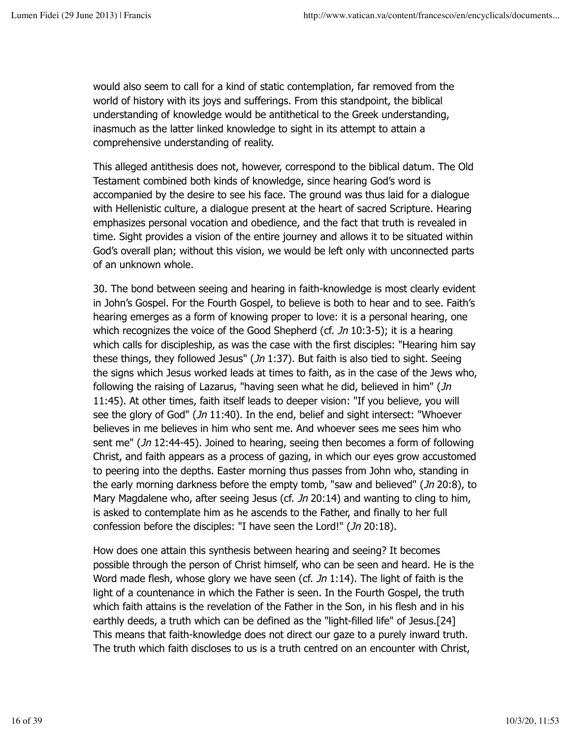would also seem to call for a kind of static contemplation, far removed from the world of history with its joys and sufferings. From this standpoint, the biblical understanding of knowledge would be antithetical to the Greek understanding, inasmuch as the latter linked knowledge to sight in its attempt to attain a comprehensive understanding of reality.

This alleged antithesis does not, however, correspond to the biblical datum. The Old Testament combined both kinds of knowledge, since hearing God's word is accompanied by the desire to see his face. The ground was thus laid for a dialogue with Hellenistic culture, a dialogue present at the heart of sacred Scripture. Hearing emphasizes personal vocation and obedience, and the fact that truth is revealed in time. Sight provides a vision of the entire journey and allows it to be situated within God's overall plan; without this vision, we would be left only with unconnected parts of an unknown whole.

30. The bond between seeing and hearing in faith-knowledge is most clearly evident in John's Gospel. For the Fourth Gospel, to believe is both to hear and to see. Faith's hearing emerges as a form of knowing proper to love: it is a personal hearing, one which recognizes the voice of the Good Shepherd (cf.  $Jn$  10:3-5); it is a hearing which calls for discipleship, as was the case with the first disciples: "Hearing him say these things, they followed Jesus" (*Jn* 1:37). But faith is also tied to sight. Seeing the signs which Jesus worked leads at times to faith, as in the case of the Jews who, following the raising of Lazarus, "having seen what he did, believed in him" (Jn 11:45). At other times, faith itself leads to deeper vision: "If you believe, you will see the glory of God" (Jn 11:40). In the end, belief and sight intersect: "Whoever believes in me believes in him who sent me. And whoever sees me sees him who sent me" (*Jn* 12:44-45). Joined to hearing, seeing then becomes a form of following Christ, and faith appears as a process of gazing, in which our eyes grow accustomed to peering into the depths. Easter morning thus passes from John who, standing in the early morning darkness before the empty tomb, "saw and believed" (*Jn* 20:8), to Mary Magdalene who, after seeing Jesus (cf. Jn 20:14) and wanting to cling to him, is asked to contemplate him as he ascends to the Father, and finally to her full confession before the disciples: "I have seen the Lord!" (*Jn* 20:18).

How does one attain this synthesis between hearing and seeing? It becomes possible through the person of Christ himself, who can be seen and heard. He is the Word made flesh, whose glory we have seen (cf.  $Jn$  1:14). The light of faith is the light of a countenance in which the Father is seen. In the Fourth Gospel, the truth which faith attains is the revelation of the Father in the Son, in his flesh and in his earthly deeds, a truth which can be defined as the "light-filled life" of Jesus.[24] This means that faith-knowledge does not direct our gaze to a purely inward truth. The truth which faith discloses to us is a truth centred on an encounter with Christ,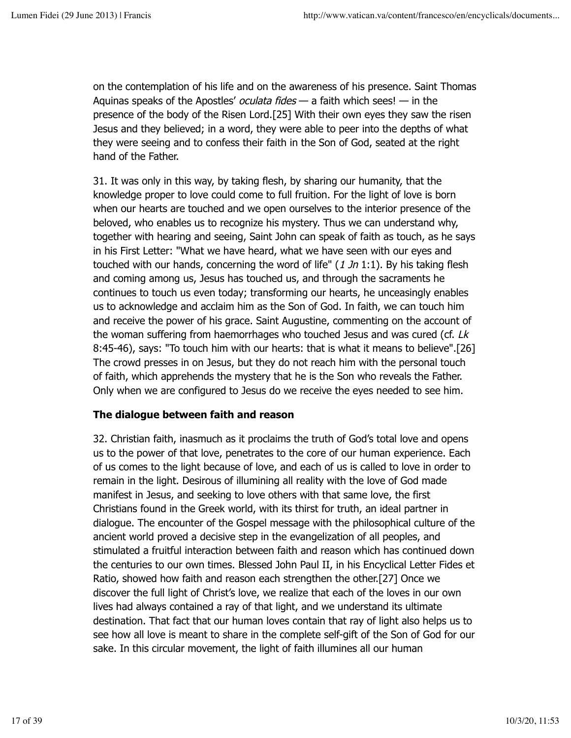on the contemplation of his life and on the awareness of his presence. Saint Thomas Aquinas speaks of the Apostles' oculata fides  $-$  a faith which sees!  $-$  in the presence of the body of the Risen Lord.[25] With their own eyes they saw the risen Jesus and they believed; in a word, they were able to peer into the depths of what they were seeing and to confess their faith in the Son of God, seated at the right hand of the Father.

31. It was only in this way, by taking flesh, by sharing our humanity, that the knowledge proper to love could come to full fruition. For the light of love is born when our hearts are touched and we open ourselves to the interior presence of the beloved, who enables us to recognize his mystery. Thus we can understand why, together with hearing and seeing, Saint John can speak of faith as touch, as he says in his First Letter: "What we have heard, what we have seen with our eyes and touched with our hands, concerning the word of life"  $(1 Jn 1:1)$ . By his taking flesh and coming among us, Jesus has touched us, and through the sacraments he continues to touch us even today; transforming our hearts, he unceasingly enables us to acknowledge and acclaim him as the Son of God. In faith, we can touch him and receive the power of his grace. Saint Augustine, commenting on the account of the woman suffering from haemorrhages who touched Jesus and was cured (cf. Lk 8:45-46), says: "To touch him with our hearts: that is what it means to believe".[26] The crowd presses in on Jesus, but they do not reach him with the personal touch of faith, which apprehends the mystery that he is the Son who reveals the Father. Only when we are configured to Jesus do we receive the eyes needed to see him.

#### **The dialogue between faith and reason**

32. Christian faith, inasmuch as it proclaims the truth of God's total love and opens us to the power of that love, penetrates to the core of our human experience. Each of us comes to the light because of love, and each of us is called to love in order to remain in the light. Desirous of illumining all reality with the love of God made manifest in Jesus, and seeking to love others with that same love, the first Christians found in the Greek world, with its thirst for truth, an ideal partner in dialogue. The encounter of the Gospel message with the philosophical culture of the ancient world proved a decisive step in the evangelization of all peoples, and stimulated a fruitful interaction between faith and reason which has continued down the centuries to our own times. Blessed John Paul II, in his Encyclical Letter Fides et Ratio, showed how faith and reason each strengthen the other.[27] Once we discover the full light of Christ's love, we realize that each of the loves in our own lives had always contained a ray of that light, and we understand its ultimate destination. That fact that our human loves contain that ray of light also helps us to see how all love is meant to share in the complete self-gift of the Son of God for our sake. In this circular movement, the light of faith illumines all our human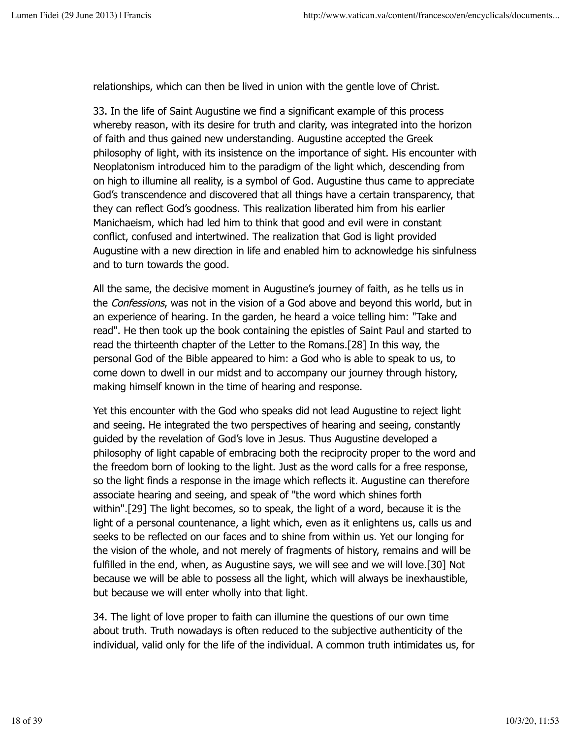relationships, which can then be lived in union with the gentle love of Christ.

33. In the life of Saint Augustine we find a significant example of this process whereby reason, with its desire for truth and clarity, was integrated into the horizon of faith and thus gained new understanding. Augustine accepted the Greek philosophy of light, with its insistence on the importance of sight. His encounter with Neoplatonism introduced him to the paradigm of the light which, descending from on high to illumine all reality, is a symbol of God. Augustine thus came to appreciate God's transcendence and discovered that all things have a certain transparency, that they can reflect God's goodness. This realization liberated him from his earlier Manichaeism, which had led him to think that good and evil were in constant conflict, confused and intertwined. The realization that God is light provided Augustine with a new direction in life and enabled him to acknowledge his sinfulness and to turn towards the good.

All the same, the decisive moment in Augustine's journey of faith, as he tells us in the Confessions, was not in the vision of a God above and beyond this world, but in an experience of hearing. In the garden, he heard a voice telling him: "Take and read". He then took up the book containing the epistles of Saint Paul and started to read the thirteenth chapter of the Letter to the Romans.[28] In this way, the personal God of the Bible appeared to him: a God who is able to speak to us, to come down to dwell in our midst and to accompany our journey through history, making himself known in the time of hearing and response.

Yet this encounter with the God who speaks did not lead Augustine to reject light and seeing. He integrated the two perspectives of hearing and seeing, constantly guided by the revelation of God's love in Jesus. Thus Augustine developed a philosophy of light capable of embracing both the reciprocity proper to the word and the freedom born of looking to the light. Just as the word calls for a free response, so the light finds a response in the image which reflects it. Augustine can therefore associate hearing and seeing, and speak of "the word which shines forth within".[29] The light becomes, so to speak, the light of a word, because it is the light of a personal countenance, a light which, even as it enlightens us, calls us and seeks to be reflected on our faces and to shine from within us. Yet our longing for the vision of the whole, and not merely of fragments of history, remains and will be fulfilled in the end, when, as Augustine says, we will see and we will love.[30] Not because we will be able to possess all the light, which will always be inexhaustible, but because we will enter wholly into that light.

34. The light of love proper to faith can illumine the questions of our own time about truth. Truth nowadays is often reduced to the subjective authenticity of the individual, valid only for the life of the individual. A common truth intimidates us, for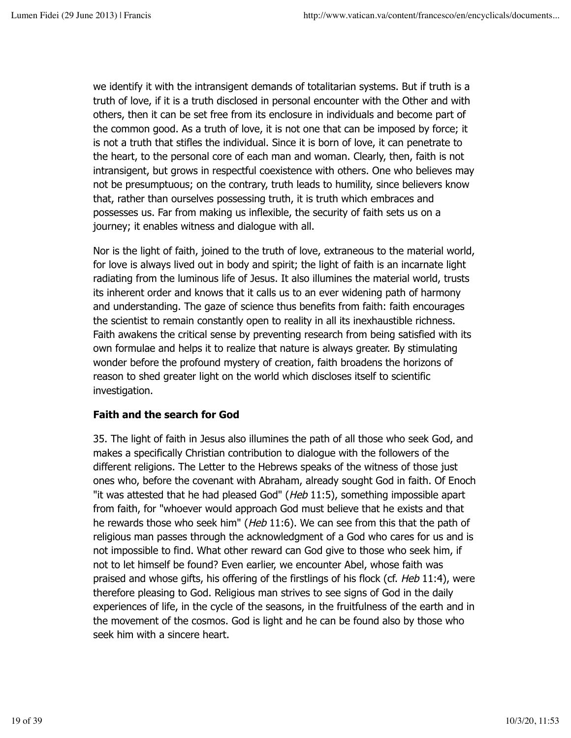we identify it with the intransigent demands of totalitarian systems. But if truth is a truth of love, if it is a truth disclosed in personal encounter with the Other and with others, then it can be set free from its enclosure in individuals and become part of the common good. As a truth of love, it is not one that can be imposed by force; it is not a truth that stifles the individual. Since it is born of love, it can penetrate to the heart, to the personal core of each man and woman. Clearly, then, faith is not intransigent, but grows in respectful coexistence with others. One who believes may not be presumptuous; on the contrary, truth leads to humility, since believers know that, rather than ourselves possessing truth, it is truth which embraces and possesses us. Far from making us inflexible, the security of faith sets us on a journey; it enables witness and dialogue with all.

Nor is the light of faith, joined to the truth of love, extraneous to the material world, for love is always lived out in body and spirit; the light of faith is an incarnate light radiating from the luminous life of Jesus. It also illumines the material world, trusts its inherent order and knows that it calls us to an ever widening path of harmony and understanding. The gaze of science thus benefits from faith: faith encourages the scientist to remain constantly open to reality in all its inexhaustible richness. Faith awakens the critical sense by preventing research from being satisfied with its own formulae and helps it to realize that nature is always greater. By stimulating wonder before the profound mystery of creation, faith broadens the horizons of reason to shed greater light on the world which discloses itself to scientific investigation.

## **Faith and the search for God**

35. The light of faith in Jesus also illumines the path of all those who seek God, and makes a specifically Christian contribution to dialogue with the followers of the different religions. The Letter to the Hebrews speaks of the witness of those just ones who, before the covenant with Abraham, already sought God in faith. Of Enoch "it was attested that he had pleased God" (Heb 11:5), something impossible apart from faith, for "whoever would approach God must believe that he exists and that he rewards those who seek him" (Heb 11:6). We can see from this that the path of religious man passes through the acknowledgment of a God who cares for us and is not impossible to find. What other reward can God give to those who seek him, if not to let himself be found? Even earlier, we encounter Abel, whose faith was praised and whose gifts, his offering of the firstlings of his flock (cf. Heb 11:4), were therefore pleasing to God. Religious man strives to see signs of God in the daily experiences of life, in the cycle of the seasons, in the fruitfulness of the earth and in the movement of the cosmos. God is light and he can be found also by those who seek him with a sincere heart.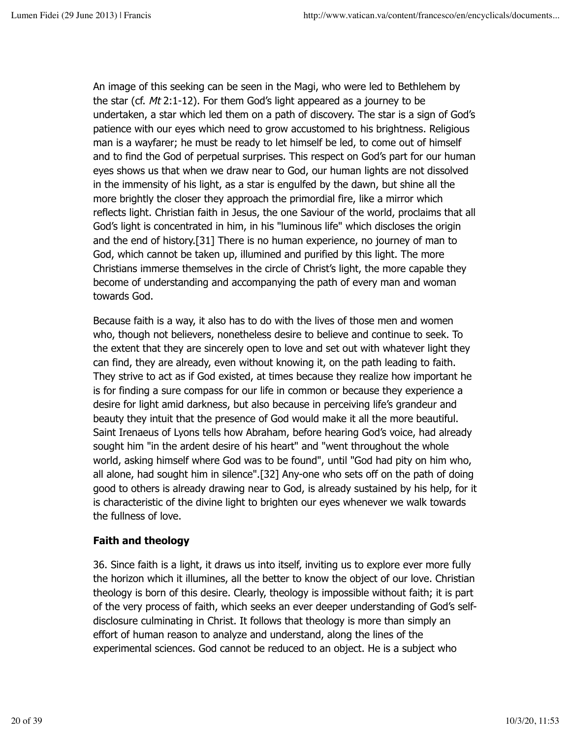An image of this seeking can be seen in the Magi, who were led to Bethlehem by the star (cf. Mt 2:1-12). For them God's light appeared as a journey to be undertaken, a star which led them on a path of discovery. The star is a sign of God's patience with our eyes which need to grow accustomed to his brightness. Religious man is a wayfarer; he must be ready to let himself be led, to come out of himself and to find the God of perpetual surprises. This respect on God's part for our human eyes shows us that when we draw near to God, our human lights are not dissolved in the immensity of his light, as a star is engulfed by the dawn, but shine all the more brightly the closer they approach the primordial fire, like a mirror which reflects light. Christian faith in Jesus, the one Saviour of the world, proclaims that all God's light is concentrated in him, in his "luminous life" which discloses the origin and the end of history.[31] There is no human experience, no journey of man to God, which cannot be taken up, illumined and purified by this light. The more Christians immerse themselves in the circle of Christ's light, the more capable they become of understanding and accompanying the path of every man and woman towards God.

Because faith is a way, it also has to do with the lives of those men and women who, though not believers, nonetheless desire to believe and continue to seek. To the extent that they are sincerely open to love and set out with whatever light they can find, they are already, even without knowing it, on the path leading to faith. They strive to act as if God existed, at times because they realize how important he is for finding a sure compass for our life in common or because they experience a desire for light amid darkness, but also because in perceiving life's grandeur and beauty they intuit that the presence of God would make it all the more beautiful. Saint Irenaeus of Lyons tells how Abraham, before hearing God's voice, had already sought him "in the ardent desire of his heart" and "went throughout the whole world, asking himself where God was to be found", until "God had pity on him who, all alone, had sought him in silence".[32] Any-one who sets off on the path of doing good to others is already drawing near to God, is already sustained by his help, for it is characteristic of the divine light to brighten our eyes whenever we walk towards the fullness of love.

#### **Faith and theology**

36. Since faith is a light, it draws us into itself, inviting us to explore ever more fully the horizon which it illumines, all the better to know the object of our love. Christian theology is born of this desire. Clearly, theology is impossible without faith; it is part of the very process of faith, which seeks an ever deeper understanding of God's selfdisclosure culminating in Christ. It follows that theology is more than simply an effort of human reason to analyze and understand, along the lines of the experimental sciences. God cannot be reduced to an object. He is a subject who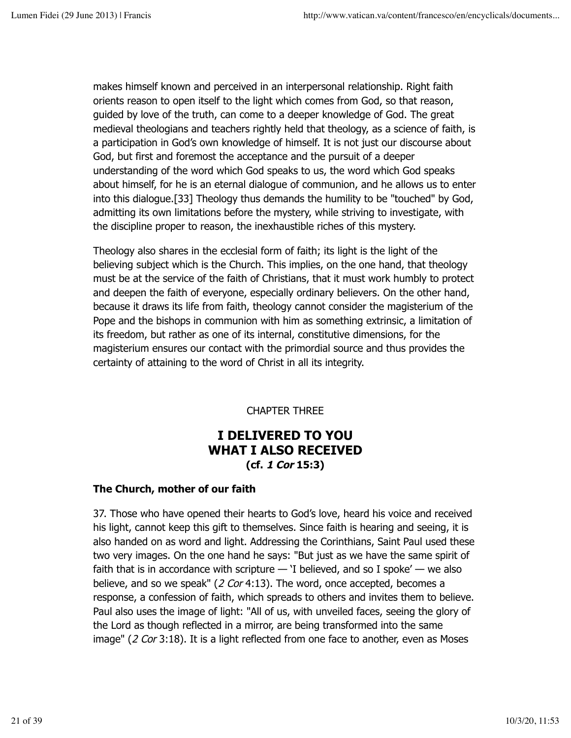makes himself known and perceived in an interpersonal relationship. Right faith orients reason to open itself to the light which comes from God, so that reason, guided by love of the truth, can come to a deeper knowledge of God. The great medieval theologians and teachers rightly held that theology, as a science of faith, is a participation in God's own knowledge of himself. It is not just our discourse about God, but first and foremost the acceptance and the pursuit of a deeper understanding of the word which God speaks to us, the word which God speaks about himself, for he is an eternal dialogue of communion, and he allows us to enter into this dialogue.[33] Theology thus demands the humility to be "touched" by God, admitting its own limitations before the mystery, while striving to investigate, with the discipline proper to reason, the inexhaustible riches of this mystery.

Theology also shares in the ecclesial form of faith; its light is the light of the believing subject which is the Church. This implies, on the one hand, that theology must be at the service of the faith of Christians, that it must work humbly to protect and deepen the faith of everyone, especially ordinary believers. On the other hand, because it draws its life from faith, theology cannot consider the magisterium of the Pope and the bishops in communion with him as something extrinsic, a limitation of its freedom, but rather as one of its internal, constitutive dimensions, for the magisterium ensures our contact with the primordial source and thus provides the certainty of attaining to the word of Christ in all its integrity.

CHAPTER THREE

## **I DELIVERED TO YOU WHAT I ALSO RECEIVED (cf. 1 Cor 15:3)**

#### **The Church, mother of our faith**

37. Those who have opened their hearts to God's love, heard his voice and received his light, cannot keep this gift to themselves. Since faith is hearing and seeing, it is also handed on as word and light. Addressing the Corinthians, Saint Paul used these two very images. On the one hand he says: "But just as we have the same spirit of faith that is in accordance with scripture  $-$  'I believed, and so I spoke'  $-$  we also believe, and so we speak" (2 Cor 4:13). The word, once accepted, becomes a response, a confession of faith, which spreads to others and invites them to believe. Paul also uses the image of light: "All of us, with unveiled faces, seeing the glory of the Lord as though reflected in a mirror, are being transformed into the same image" (2 Cor 3:18). It is a light reflected from one face to another, even as Moses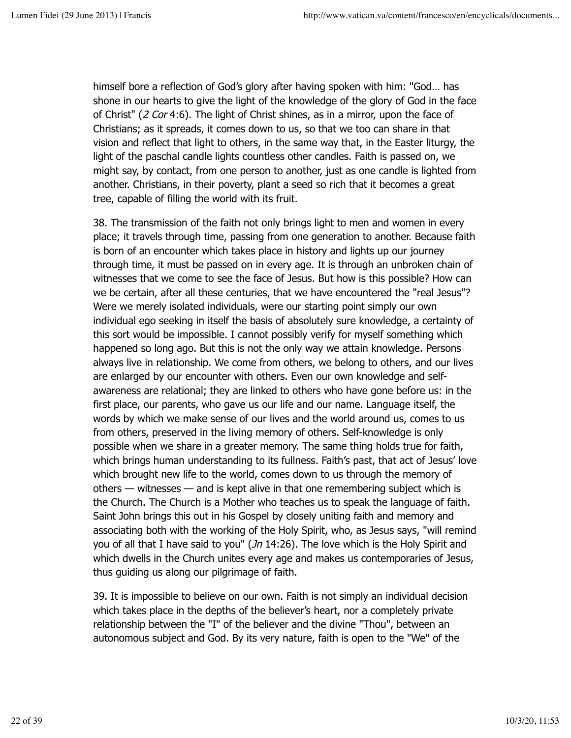himself bore a reflection of God's glory after having spoken with him: "God… has shone in our hearts to give the light of the knowledge of the glory of God in the face of Christ" (2 Cor 4:6). The light of Christ shines, as in a mirror, upon the face of Christians; as it spreads, it comes down to us, so that we too can share in that vision and reflect that light to others, in the same way that, in the Easter liturgy, the light of the paschal candle lights countless other candles. Faith is passed on, we might say, by contact, from one person to another, just as one candle is lighted from another. Christians, in their poverty, plant a seed so rich that it becomes a great tree, capable of filling the world with its fruit.

38. The transmission of the faith not only brings light to men and women in every place; it travels through time, passing from one generation to another. Because faith is born of an encounter which takes place in history and lights up our journey through time, it must be passed on in every age. It is through an unbroken chain of witnesses that we come to see the face of Jesus. But how is this possible? How can we be certain, after all these centuries, that we have encountered the "real Jesus"? Were we merely isolated individuals, were our starting point simply our own individual ego seeking in itself the basis of absolutely sure knowledge, a certainty of this sort would be impossible. I cannot possibly verify for myself something which happened so long ago. But this is not the only way we attain knowledge. Persons always live in relationship. We come from others, we belong to others, and our lives are enlarged by our encounter with others. Even our own knowledge and selfawareness are relational; they are linked to others who have gone before us: in the first place, our parents, who gave us our life and our name. Language itself, the words by which we make sense of our lives and the world around us, comes to us from others, preserved in the living memory of others. Self-knowledge is only possible when we share in a greater memory. The same thing holds true for faith, which brings human understanding to its fullness. Faith's past, that act of Jesus' love which brought new life to the world, comes down to us through the memory of others — witnesses — and is kept alive in that one remembering subject which is the Church. The Church is a Mother who teaches us to speak the language of faith. Saint John brings this out in his Gospel by closely uniting faith and memory and associating both with the working of the Holy Spirit, who, as Jesus says, "will remind you of all that I have said to you"  $(Jn 14:26)$ . The love which is the Holy Spirit and which dwells in the Church unites every age and makes us contemporaries of Jesus, thus guiding us along our pilgrimage of faith.

39. It is impossible to believe on our own. Faith is not simply an individual decision which takes place in the depths of the believer's heart, nor a completely private relationship between the "I" of the believer and the divine "Thou", between an autonomous subject and God. By its very nature, faith is open to the "We" of the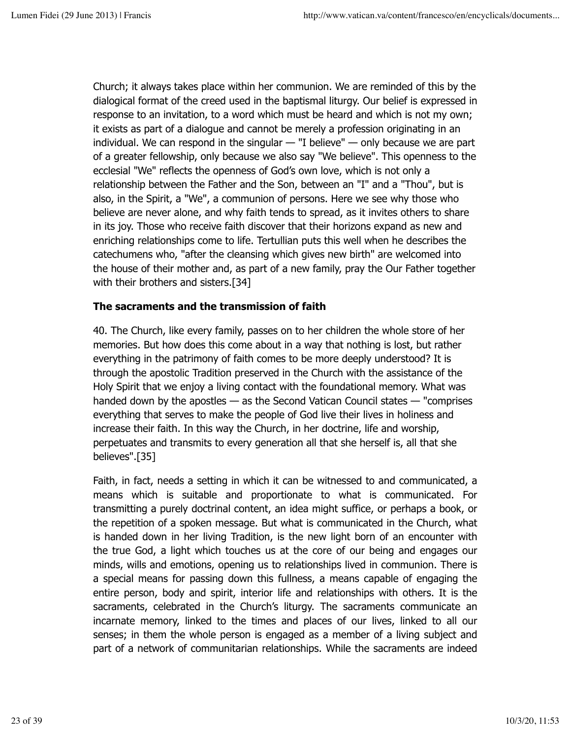Church; it always takes place within her communion. We are reminded of this by the dialogical format of the creed used in the baptismal liturgy. Our belief is expressed in response to an invitation, to a word which must be heard and which is not my own; it exists as part of a dialogue and cannot be merely a profession originating in an individual. We can respond in the singular  $-$  "I believe"  $-$  only because we are part of a greater fellowship, only because we also say "We believe". This openness to the ecclesial "We" reflects the openness of God's own love, which is not only a relationship between the Father and the Son, between an "I" and a "Thou", but is also, in the Spirit, a "We", a communion of persons. Here we see why those who believe are never alone, and why faith tends to spread, as it invites others to share in its joy. Those who receive faith discover that their horizons expand as new and enriching relationships come to life. Tertullian puts this well when he describes the catechumens who, "after the cleansing which gives new birth" are welcomed into the house of their mother and, as part of a new family, pray the Our Father together with their brothers and sisters.[34]

#### **The sacraments and the transmission of faith**

40. The Church, like every family, passes on to her children the whole store of her memories. But how does this come about in a way that nothing is lost, but rather everything in the patrimony of faith comes to be more deeply understood? It is through the apostolic Tradition preserved in the Church with the assistance of the Holy Spirit that we enjoy a living contact with the foundational memory. What was handed down by the apostles — as the Second Vatican Council states — "comprises everything that serves to make the people of God live their lives in holiness and increase their faith. In this way the Church, in her doctrine, life and worship, perpetuates and transmits to every generation all that she herself is, all that she believes".[35]

Faith, in fact, needs a setting in which it can be witnessed to and communicated, a means which is suitable and proportionate to what is communicated. For transmitting a purely doctrinal content, an idea might suffice, or perhaps a book, or the repetition of a spoken message. But what is communicated in the Church, what is handed down in her living Tradition, is the new light born of an encounter with the true God, a light which touches us at the core of our being and engages our minds, wills and emotions, opening us to relationships lived in communion. There is a special means for passing down this fullness, a means capable of engaging the entire person, body and spirit, interior life and relationships with others. It is the sacraments, celebrated in the Church's liturgy. The sacraments communicate an incarnate memory, linked to the times and places of our lives, linked to all our senses; in them the whole person is engaged as a member of a living subject and part of a network of communitarian relationships. While the sacraments are indeed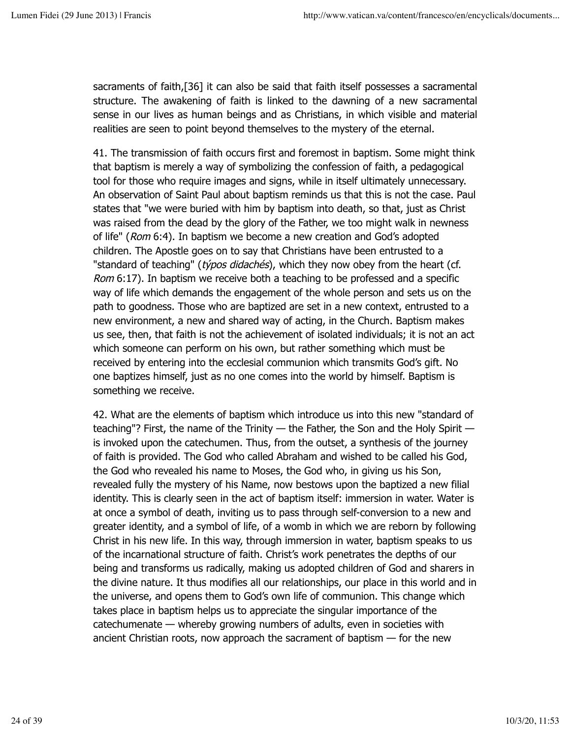sacraments of faith,[36] it can also be said that faith itself possesses a sacramental structure. The awakening of faith is linked to the dawning of a new sacramental sense in our lives as human beings and as Christians, in which visible and material realities are seen to point beyond themselves to the mystery of the eternal.

41. The transmission of faith occurs first and foremost in baptism. Some might think that baptism is merely a way of symbolizing the confession of faith, a pedagogical tool for those who require images and signs, while in itself ultimately unnecessary. An observation of Saint Paul about baptism reminds us that this is not the case. Paul states that "we were buried with him by baptism into death, so that, just as Christ was raised from the dead by the glory of the Father, we too might walk in newness of life" (Rom 6:4). In baptism we become a new creation and God's adopted children. The Apostle goes on to say that Christians have been entrusted to a "standard of teaching" (typos didachés), which they now obey from the heart (cf. Rom 6:17). In baptism we receive both a teaching to be professed and a specific way of life which demands the engagement of the whole person and sets us on the path to goodness. Those who are baptized are set in a new context, entrusted to a new environment, a new and shared way of acting, in the Church. Baptism makes us see, then, that faith is not the achievement of isolated individuals; it is not an act which someone can perform on his own, but rather something which must be received by entering into the ecclesial communion which transmits God's gift. No one baptizes himself, just as no one comes into the world by himself. Baptism is something we receive.

42. What are the elements of baptism which introduce us into this new "standard of teaching"? First, the name of the Trinity — the Father, the Son and the Holy Spirit is invoked upon the catechumen. Thus, from the outset, a synthesis of the journey of faith is provided. The God who called Abraham and wished to be called his God, the God who revealed his name to Moses, the God who, in giving us his Son, revealed fully the mystery of his Name, now bestows upon the baptized a new filial identity. This is clearly seen in the act of baptism itself: immersion in water. Water is at once a symbol of death, inviting us to pass through self-conversion to a new and greater identity, and a symbol of life, of a womb in which we are reborn by following Christ in his new life. In this way, through immersion in water, baptism speaks to us of the incarnational structure of faith. Christ's work penetrates the depths of our being and transforms us radically, making us adopted children of God and sharers in the divine nature. It thus modifies all our relationships, our place in this world and in the universe, and opens them to God's own life of communion. This change which takes place in baptism helps us to appreciate the singular importance of the catechumenate — whereby growing numbers of adults, even in societies with ancient Christian roots, now approach the sacrament of baptism — for the new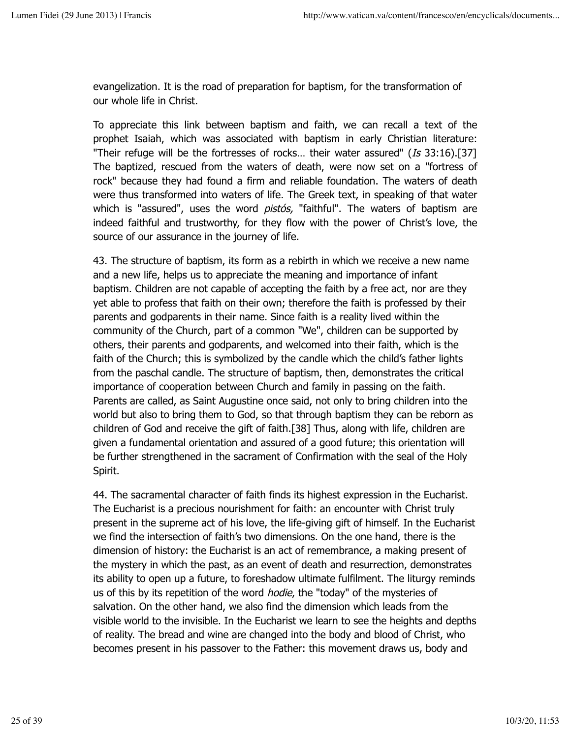evangelization. It is the road of preparation for baptism, for the transformation of our whole life in Christ.

To appreciate this link between baptism and faith, we can recall a text of the prophet Isaiah, which was associated with baptism in early Christian literature: "Their refuge will be the fortresses of rocks... their water assured" (Is  $33:16$ ).[37] The baptized, rescued from the waters of death, were now set on a "fortress of rock" because they had found a firm and reliable foundation. The waters of death were thus transformed into waters of life. The Greek text, in speaking of that water which is "assured", uses the word *pistós*, "faithful". The waters of baptism are indeed faithful and trustworthy, for they flow with the power of Christ's love, the source of our assurance in the journey of life.

43. The structure of baptism, its form as a rebirth in which we receive a new name and a new life, helps us to appreciate the meaning and importance of infant baptism. Children are not capable of accepting the faith by a free act, nor are they yet able to profess that faith on their own; therefore the faith is professed by their parents and godparents in their name. Since faith is a reality lived within the community of the Church, part of a common "We", children can be supported by others, their parents and godparents, and welcomed into their faith, which is the faith of the Church; this is symbolized by the candle which the child's father lights from the paschal candle. The structure of baptism, then, demonstrates the critical importance of cooperation between Church and family in passing on the faith. Parents are called, as Saint Augustine once said, not only to bring children into the world but also to bring them to God, so that through baptism they can be reborn as children of God and receive the gift of faith.[38] Thus, along with life, children are given a fundamental orientation and assured of a good future; this orientation will be further strengthened in the sacrament of Confirmation with the seal of the Holy Spirit.

44. The sacramental character of faith finds its highest expression in the Eucharist. The Eucharist is a precious nourishment for faith: an encounter with Christ truly present in the supreme act of his love, the life-giving gift of himself. In the Eucharist we find the intersection of faith's two dimensions. On the one hand, there is the dimension of history: the Eucharist is an act of remembrance, a making present of the mystery in which the past, as an event of death and resurrection, demonstrates its ability to open up a future, to foreshadow ultimate fulfilment. The liturgy reminds us of this by its repetition of the word *hodie*, the "today" of the mysteries of salvation. On the other hand, we also find the dimension which leads from the visible world to the invisible. In the Eucharist we learn to see the heights and depths of reality. The bread and wine are changed into the body and blood of Christ, who becomes present in his passover to the Father: this movement draws us, body and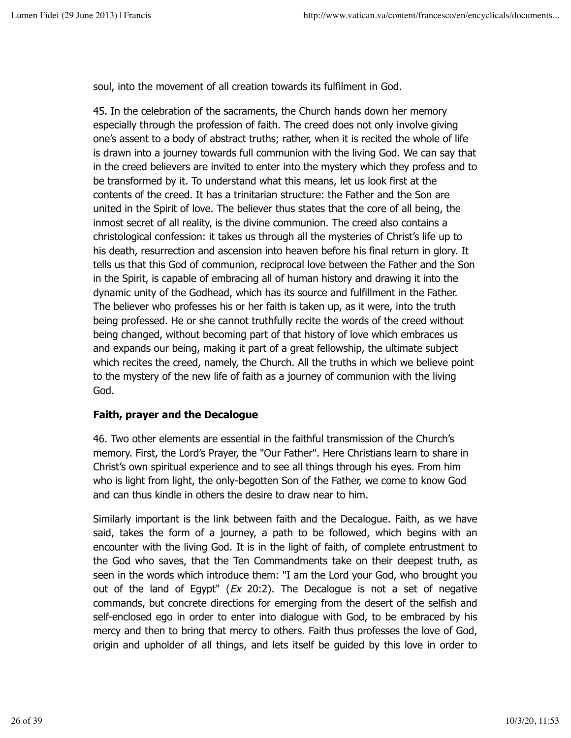soul, into the movement of all creation towards its fulfilment in God.

45. In the celebration of the sacraments, the Church hands down her memory especially through the profession of faith. The creed does not only involve giving one's assent to a body of abstract truths; rather, when it is recited the whole of life is drawn into a journey towards full communion with the living God. We can say that in the creed believers are invited to enter into the mystery which they profess and to be transformed by it. To understand what this means, let us look first at the contents of the creed. It has a trinitarian structure: the Father and the Son are united in the Spirit of love. The believer thus states that the core of all being, the inmost secret of all reality, is the divine communion. The creed also contains a christological confession: it takes us through all the mysteries of Christ's life up to his death, resurrection and ascension into heaven before his final return in glory. It tells us that this God of communion, reciprocal love between the Father and the Son in the Spirit, is capable of embracing all of human history and drawing it into the dynamic unity of the Godhead, which has its source and fulfillment in the Father. The believer who professes his or her faith is taken up, as it were, into the truth being professed. He or she cannot truthfully recite the words of the creed without being changed, without becoming part of that history of love which embraces us and expands our being, making it part of a great fellowship, the ultimate subject which recites the creed, namely, the Church. All the truths in which we believe point to the mystery of the new life of faith as a journey of communion with the living God.

#### **Faith, prayer and the Decalogue**

46. Two other elements are essential in the faithful transmission of the Church's memory. First, the Lord's Prayer, the "Our Father". Here Christians learn to share in Christ's own spiritual experience and to see all things through his eyes. From him who is light from light, the only-begotten Son of the Father, we come to know God and can thus kindle in others the desire to draw near to him.

Similarly important is the link between faith and the Decalogue. Faith, as we have said, takes the form of a journey, a path to be followed, which begins with an encounter with the living God. It is in the light of faith, of complete entrustment to the God who saves, that the Ten Commandments take on their deepest truth, as seen in the words which introduce them: "I am the Lord your God, who brought you out of the land of Egypt" ( $Ex$  20:2). The Decalogue is not a set of negative commands, but concrete directions for emerging from the desert of the selfish and self-enclosed ego in order to enter into dialogue with God, to be embraced by his mercy and then to bring that mercy to others. Faith thus professes the love of God, origin and upholder of all things, and lets itself be guided by this love in order to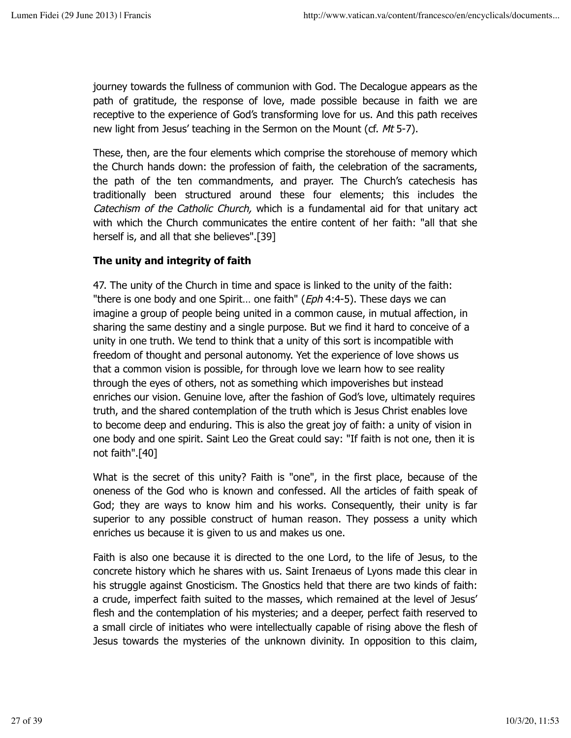journey towards the fullness of communion with God. The Decalogue appears as the path of gratitude, the response of love, made possible because in faith we are receptive to the experience of God's transforming love for us. And this path receives new light from Jesus' teaching in the Sermon on the Mount (cf. Mt 5-7).

These, then, are the four elements which comprise the storehouse of memory which the Church hands down: the profession of faith, the celebration of the sacraments, the path of the ten commandments, and prayer. The Church's catechesis has traditionally been structured around these four elements; this includes the Catechism of the Catholic Church, which is a fundamental aid for that unitary act with which the Church communicates the entire content of her faith: "all that she herself is, and all that she believes".[39]

#### **The unity and integrity of faith**

47. The unity of the Church in time and space is linked to the unity of the faith: "there is one body and one Spirit... one faith" (*Eph* 4:4-5). These days we can imagine a group of people being united in a common cause, in mutual affection, in sharing the same destiny and a single purpose. But we find it hard to conceive of a unity in one truth. We tend to think that a unity of this sort is incompatible with freedom of thought and personal autonomy. Yet the experience of love shows us that a common vision is possible, for through love we learn how to see reality through the eyes of others, not as something which impoverishes but instead enriches our vision. Genuine love, after the fashion of God's love, ultimately requires truth, and the shared contemplation of the truth which is Jesus Christ enables love to become deep and enduring. This is also the great joy of faith: a unity of vision in one body and one spirit. Saint Leo the Great could say: "If faith is not one, then it is not faith".[40]

What is the secret of this unity? Faith is "one", in the first place, because of the oneness of the God who is known and confessed. All the articles of faith speak of God; they are ways to know him and his works. Consequently, their unity is far superior to any possible construct of human reason. They possess a unity which enriches us because it is given to us and makes us one.

Faith is also one because it is directed to the one Lord, to the life of Jesus, to the concrete history which he shares with us. Saint Irenaeus of Lyons made this clear in his struggle against Gnosticism. The Gnostics held that there are two kinds of faith: a crude, imperfect faith suited to the masses, which remained at the level of Jesus' flesh and the contemplation of his mysteries; and a deeper, perfect faith reserved to a small circle of initiates who were intellectually capable of rising above the flesh of Jesus towards the mysteries of the unknown divinity. In opposition to this claim,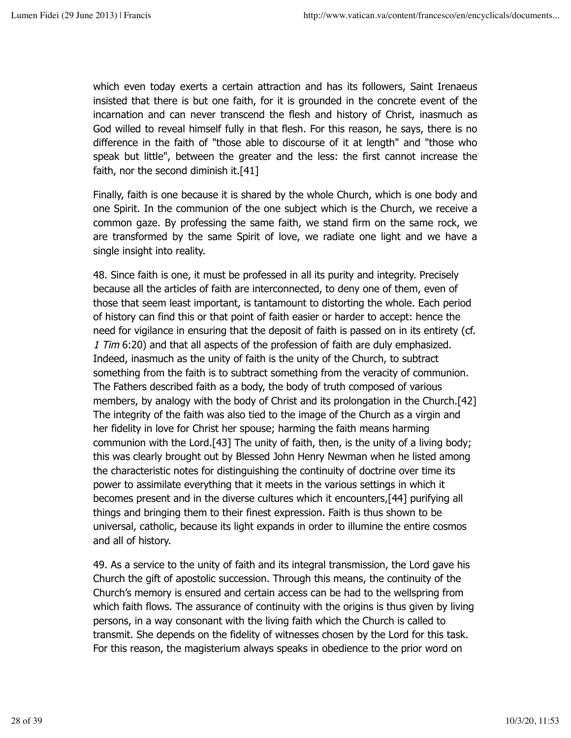which even today exerts a certain attraction and has its followers, Saint Irenaeus insisted that there is but one faith, for it is grounded in the concrete event of the incarnation and can never transcend the flesh and history of Christ, inasmuch as God willed to reveal himself fully in that flesh. For this reason, he says, there is no difference in the faith of "those able to discourse of it at length" and "those who speak but little", between the greater and the less: the first cannot increase the faith, nor the second diminish it.[41]

Finally, faith is one because it is shared by the whole Church, which is one body and one Spirit. In the communion of the one subject which is the Church, we receive a common gaze. By professing the same faith, we stand firm on the same rock, we are transformed by the same Spirit of love, we radiate one light and we have a single insight into reality.

48. Since faith is one, it must be professed in all its purity and integrity. Precisely because all the articles of faith are interconnected, to deny one of them, even of those that seem least important, is tantamount to distorting the whole. Each period of history can find this or that point of faith easier or harder to accept: hence the need for vigilance in ensuring that the deposit of faith is passed on in its entirety (cf. 1 Tim 6:20) and that all aspects of the profession of faith are duly emphasized. Indeed, inasmuch as the unity of faith is the unity of the Church, to subtract something from the faith is to subtract something from the veracity of communion. The Fathers described faith as a body, the body of truth composed of various members, by analogy with the body of Christ and its prolongation in the Church.[42] The integrity of the faith was also tied to the image of the Church as a virgin and her fidelity in love for Christ her spouse; harming the faith means harming communion with the Lord.[43] The unity of faith, then, is the unity of a living body; this was clearly brought out by Blessed John Henry Newman when he listed among the characteristic notes for distinguishing the continuity of doctrine over time its power to assimilate everything that it meets in the various settings in which it becomes present and in the diverse cultures which it encounters,[44] purifying all things and bringing them to their finest expression. Faith is thus shown to be universal, catholic, because its light expands in order to illumine the entire cosmos and all of history.

49. As a service to the unity of faith and its integral transmission, the Lord gave his Church the gift of apostolic succession. Through this means, the continuity of the Church's memory is ensured and certain access can be had to the wellspring from which faith flows. The assurance of continuity with the origins is thus given by living persons, in a way consonant with the living faith which the Church is called to transmit. She depends on the fidelity of witnesses chosen by the Lord for this task. For this reason, the magisterium always speaks in obedience to the prior word on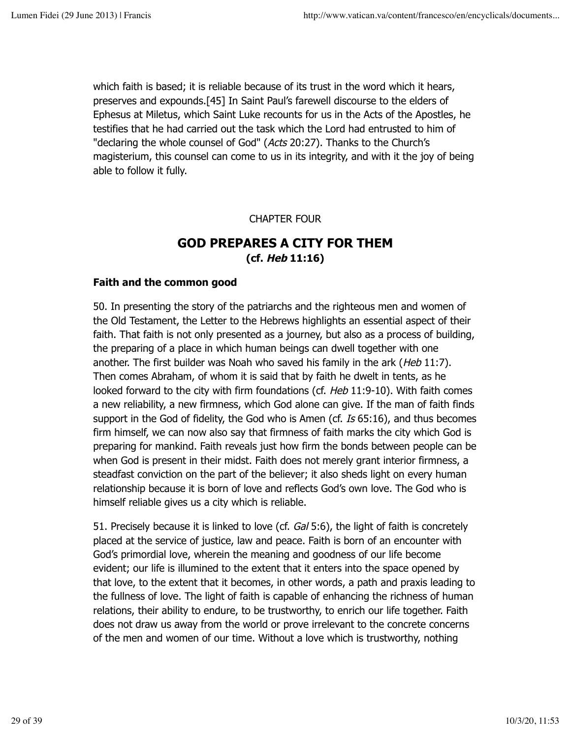which faith is based; it is reliable because of its trust in the word which it hears, preserves and expounds.[45] In Saint Paul's farewell discourse to the elders of Ephesus at Miletus, which Saint Luke recounts for us in the Acts of the Apostles, he testifies that he had carried out the task which the Lord had entrusted to him of "declaring the whole counsel of God" (Acts 20:27). Thanks to the Church's magisterium, this counsel can come to us in its integrity, and with it the joy of being able to follow it fully.

#### CHAPTER FOUR

# **GOD PREPARES A CITY FOR THEM (cf. Heb 11:16)**

#### **Faith and the common good**

50. In presenting the story of the patriarchs and the righteous men and women of the Old Testament, the Letter to the Hebrews highlights an essential aspect of their faith. That faith is not only presented as a journey, but also as a process of building, the preparing of a place in which human beings can dwell together with one another. The first builder was Noah who saved his family in the ark (Heb 11:7). Then comes Abraham, of whom it is said that by faith he dwelt in tents, as he looked forward to the city with firm foundations (cf. Heb 11:9-10). With faith comes a new reliability, a new firmness, which God alone can give. If the man of faith finds support in the God of fidelity, the God who is Amen (cf. Is 65:16), and thus becomes firm himself, we can now also say that firmness of faith marks the city which God is preparing for mankind. Faith reveals just how firm the bonds between people can be when God is present in their midst. Faith does not merely grant interior firmness, a steadfast conviction on the part of the believer; it also sheds light on every human relationship because it is born of love and reflects God's own love. The God who is himself reliable gives us a city which is reliable.

51. Precisely because it is linked to love (cf. *Gal* 5:6), the light of faith is concretely placed at the service of justice, law and peace. Faith is born of an encounter with God's primordial love, wherein the meaning and goodness of our life become evident; our life is illumined to the extent that it enters into the space opened by that love, to the extent that it becomes, in other words, a path and praxis leading to the fullness of love. The light of faith is capable of enhancing the richness of human relations, their ability to endure, to be trustworthy, to enrich our life together. Faith does not draw us away from the world or prove irrelevant to the concrete concerns of the men and women of our time. Without a love which is trustworthy, nothing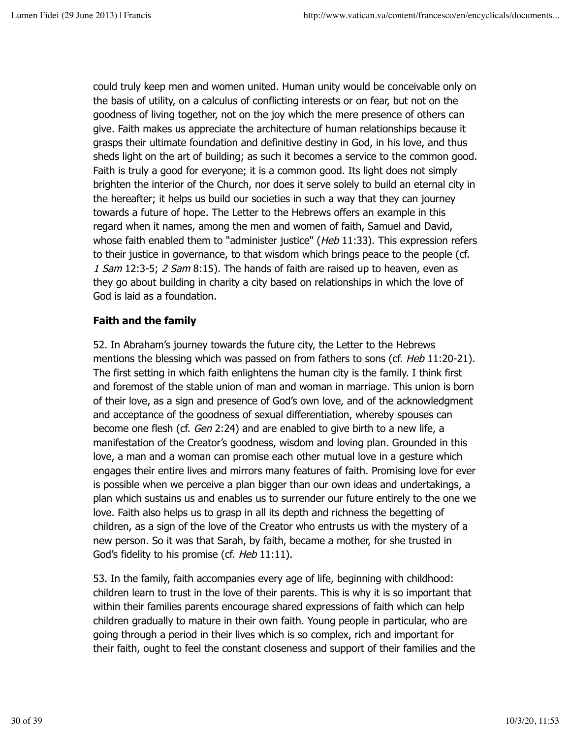could truly keep men and women united. Human unity would be conceivable only on the basis of utility, on a calculus of conflicting interests or on fear, but not on the goodness of living together, not on the joy which the mere presence of others can give. Faith makes us appreciate the architecture of human relationships because it grasps their ultimate foundation and definitive destiny in God, in his love, and thus sheds light on the art of building; as such it becomes a service to the common good. Faith is truly a good for everyone; it is a common good. Its light does not simply brighten the interior of the Church, nor does it serve solely to build an eternal city in the hereafter; it helps us build our societies in such a way that they can journey towards a future of hope. The Letter to the Hebrews offers an example in this regard when it names, among the men and women of faith, Samuel and David, whose faith enabled them to "administer justice" (Heb 11:33). This expression refers to their justice in governance, to that wisdom which brings peace to the people (cf. 1 Sam 12:3-5; 2 Sam 8:15). The hands of faith are raised up to heaven, even as they go about building in charity a city based on relationships in which the love of God is laid as a foundation.

## **Faith and the family**

52. In Abraham's journey towards the future city, the Letter to the Hebrews mentions the blessing which was passed on from fathers to sons (cf. Heb 11:20-21). The first setting in which faith enlightens the human city is the family. I think first and foremost of the stable union of man and woman in marriage. This union is born of their love, as a sign and presence of God's own love, and of the acknowledgment and acceptance of the goodness of sexual differentiation, whereby spouses can become one flesh (cf. Gen 2:24) and are enabled to give birth to a new life, a manifestation of the Creator's goodness, wisdom and loving plan. Grounded in this love, a man and a woman can promise each other mutual love in a gesture which engages their entire lives and mirrors many features of faith. Promising love for ever is possible when we perceive a plan bigger than our own ideas and undertakings, a plan which sustains us and enables us to surrender our future entirely to the one we love. Faith also helps us to grasp in all its depth and richness the begetting of children, as a sign of the love of the Creator who entrusts us with the mystery of a new person. So it was that Sarah, by faith, became a mother, for she trusted in God's fidelity to his promise (cf. Heb 11:11).

53. In the family, faith accompanies every age of life, beginning with childhood: children learn to trust in the love of their parents. This is why it is so important that within their families parents encourage shared expressions of faith which can help children gradually to mature in their own faith. Young people in particular, who are going through a period in their lives which is so complex, rich and important for their faith, ought to feel the constant closeness and support of their families and the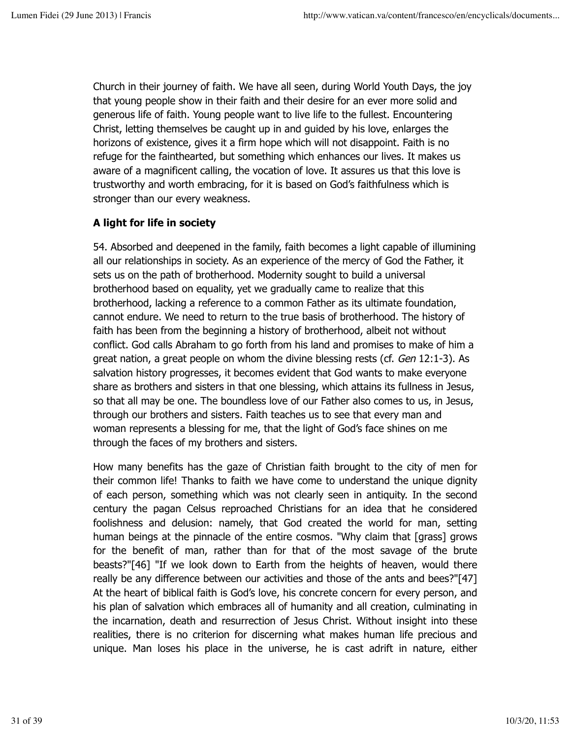Church in their journey of faith. We have all seen, during World Youth Days, the joy that young people show in their faith and their desire for an ever more solid and generous life of faith. Young people want to live life to the fullest. Encountering Christ, letting themselves be caught up in and guided by his love, enlarges the horizons of existence, gives it a firm hope which will not disappoint. Faith is no refuge for the fainthearted, but something which enhances our lives. It makes us aware of a magnificent calling, the vocation of love. It assures us that this love is trustworthy and worth embracing, for it is based on God's faithfulness which is stronger than our every weakness.

## **A light for life in society**

54. Absorbed and deepened in the family, faith becomes a light capable of illumining all our relationships in society. As an experience of the mercy of God the Father, it sets us on the path of brotherhood. Modernity sought to build a universal brotherhood based on equality, yet we gradually came to realize that this brotherhood, lacking a reference to a common Father as its ultimate foundation, cannot endure. We need to return to the true basis of brotherhood. The history of faith has been from the beginning a history of brotherhood, albeit not without conflict. God calls Abraham to go forth from his land and promises to make of him a great nation, a great people on whom the divine blessing rests (cf. Gen 12:1-3). As salvation history progresses, it becomes evident that God wants to make everyone share as brothers and sisters in that one blessing, which attains its fullness in Jesus, so that all may be one. The boundless love of our Father also comes to us, in Jesus, through our brothers and sisters. Faith teaches us to see that every man and woman represents a blessing for me, that the light of God's face shines on me through the faces of my brothers and sisters.

How many benefits has the gaze of Christian faith brought to the city of men for their common life! Thanks to faith we have come to understand the unique dignity of each person, something which was not clearly seen in antiquity. In the second century the pagan Celsus reproached Christians for an idea that he considered foolishness and delusion: namely, that God created the world for man, setting human beings at the pinnacle of the entire cosmos. "Why claim that [grass] grows for the benefit of man, rather than for that of the most savage of the brute beasts?"[46] "If we look down to Earth from the heights of heaven, would there really be any difference between our activities and those of the ants and bees?"[47] At the heart of biblical faith is God's love, his concrete concern for every person, and his plan of salvation which embraces all of humanity and all creation, culminating in the incarnation, death and resurrection of Jesus Christ. Without insight into these realities, there is no criterion for discerning what makes human life precious and unique. Man loses his place in the universe, he is cast adrift in nature, either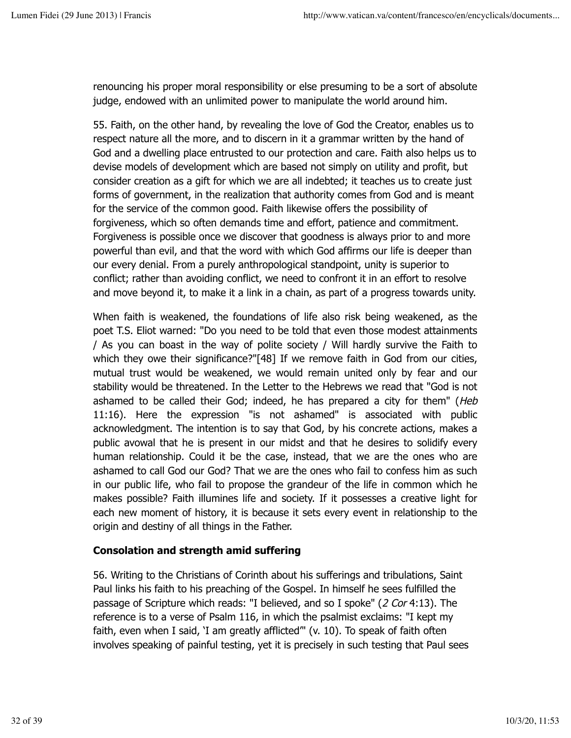renouncing his proper moral responsibility or else presuming to be a sort of absolute judge, endowed with an unlimited power to manipulate the world around him.

55. Faith, on the other hand, by revealing the love of God the Creator, enables us to respect nature all the more, and to discern in it a grammar written by the hand of God and a dwelling place entrusted to our protection and care. Faith also helps us to devise models of development which are based not simply on utility and profit, but consider creation as a gift for which we are all indebted; it teaches us to create just forms of government, in the realization that authority comes from God and is meant for the service of the common good. Faith likewise offers the possibility of forgiveness, which so often demands time and effort, patience and commitment. Forgiveness is possible once we discover that goodness is always prior to and more powerful than evil, and that the word with which God affirms our life is deeper than our every denial. From a purely anthropological standpoint, unity is superior to conflict; rather than avoiding conflict, we need to confront it in an effort to resolve and move beyond it, to make it a link in a chain, as part of a progress towards unity.

When faith is weakened, the foundations of life also risk being weakened, as the poet T.S. Eliot warned: "Do you need to be told that even those modest attainments / As you can boast in the way of polite society / Will hardly survive the Faith to which they owe their significance?"[48] If we remove faith in God from our cities, mutual trust would be weakened, we would remain united only by fear and our stability would be threatened. In the Letter to the Hebrews we read that "God is not ashamed to be called their God; indeed, he has prepared a city for them" (Heb 11:16). Here the expression "is not ashamed" is associated with public acknowledgment. The intention is to say that God, by his concrete actions, makes a public avowal that he is present in our midst and that he desires to solidify every human relationship. Could it be the case, instead, that we are the ones who are ashamed to call God our God? That we are the ones who fail to confess him as such in our public life, who fail to propose the grandeur of the life in common which he makes possible? Faith illumines life and society. If it possesses a creative light for each new moment of history, it is because it sets every event in relationship to the origin and destiny of all things in the Father.

#### **Consolation and strength amid suffering**

56. Writing to the Christians of Corinth about his sufferings and tribulations, Saint Paul links his faith to his preaching of the Gospel. In himself he sees fulfilled the passage of Scripture which reads: "I believed, and so I spoke" (2 Cor 4:13). The reference is to a verse of Psalm 116, in which the psalmist exclaims: "I kept my faith, even when I said, 'I am greatly afflicted'" (v. 10). To speak of faith often involves speaking of painful testing, yet it is precisely in such testing that Paul sees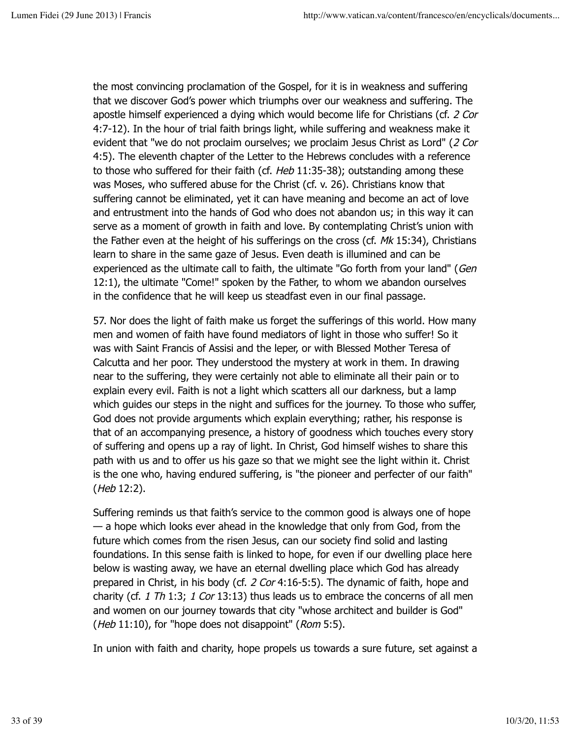the most convincing proclamation of the Gospel, for it is in weakness and suffering that we discover God's power which triumphs over our weakness and suffering. The apostle himself experienced a dying which would become life for Christians (cf. 2 Cor 4:7-12). In the hour of trial faith brings light, while suffering and weakness make it evident that "we do not proclaim ourselves; we proclaim Jesus Christ as Lord" (2 Cor 4:5). The eleventh chapter of the Letter to the Hebrews concludes with a reference to those who suffered for their faith (cf. Heb 11:35-38); outstanding among these was Moses, who suffered abuse for the Christ (cf. v. 26). Christians know that suffering cannot be eliminated, yet it can have meaning and become an act of love and entrustment into the hands of God who does not abandon us; in this way it can serve as a moment of growth in faith and love. By contemplating Christ's union with the Father even at the height of his sufferings on the cross (cf.  $Mk$  15:34), Christians learn to share in the same gaze of Jesus. Even death is illumined and can be experienced as the ultimate call to faith, the ultimate "Go forth from your land" (Gen 12:1), the ultimate "Come!" spoken by the Father, to whom we abandon ourselves in the confidence that he will keep us steadfast even in our final passage.

57. Nor does the light of faith make us forget the sufferings of this world. How many men and women of faith have found mediators of light in those who suffer! So it was with Saint Francis of Assisi and the leper, or with Blessed Mother Teresa of Calcutta and her poor. They understood the mystery at work in them. In drawing near to the suffering, they were certainly not able to eliminate all their pain or to explain every evil. Faith is not a light which scatters all our darkness, but a lamp which guides our steps in the night and suffices for the journey. To those who suffer, God does not provide arguments which explain everything; rather, his response is that of an accompanying presence, a history of goodness which touches every story of suffering and opens up a ray of light. In Christ, God himself wishes to share this path with us and to offer us his gaze so that we might see the light within it. Christ is the one who, having endured suffering, is "the pioneer and perfecter of our faith" (Heb 12:2).

Suffering reminds us that faith's service to the common good is always one of hope — a hope which looks ever ahead in the knowledge that only from God, from the future which comes from the risen Jesus, can our society find solid and lasting foundations. In this sense faith is linked to hope, for even if our dwelling place here below is wasting away, we have an eternal dwelling place which God has already prepared in Christ, in his body (cf. 2 Cor 4:16-5:5). The dynamic of faith, hope and charity (cf. 1 Th 1:3; 1 Cor 13:13) thus leads us to embrace the concerns of all men and women on our journey towards that city "whose architect and builder is God" (Heb 11:10), for "hope does not disappoint" (Rom 5:5).

In union with faith and charity, hope propels us towards a sure future, set against a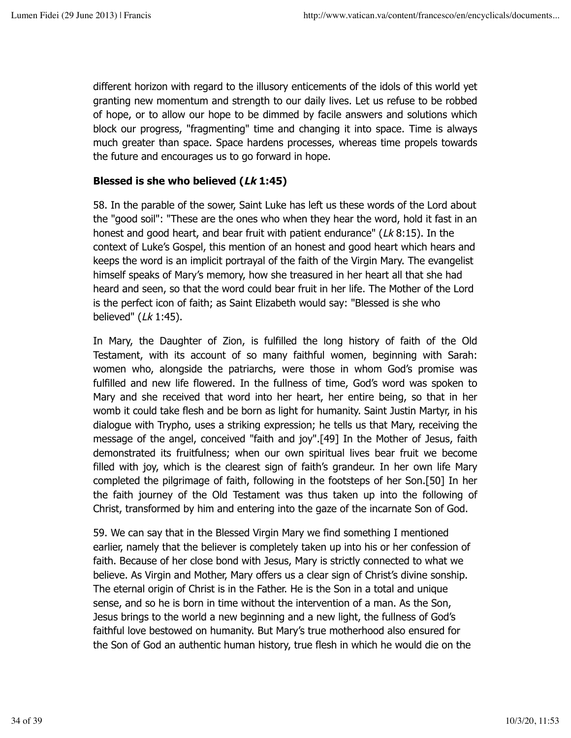different horizon with regard to the illusory enticements of the idols of this world yet granting new momentum and strength to our daily lives. Let us refuse to be robbed of hope, or to allow our hope to be dimmed by facile answers and solutions which block our progress, "fragmenting" time and changing it into space. Time is always much greater than space. Space hardens processes, whereas time propels towards the future and encourages us to go forward in hope.

#### **Blessed is she who believed (Lk 1:45)**

58. In the parable of the sower, Saint Luke has left us these words of the Lord about the "good soil": "These are the ones who when they hear the word, hold it fast in an honest and good heart, and bear fruit with patient endurance" ( $Lk$  8:15). In the context of Luke's Gospel, this mention of an honest and good heart which hears and keeps the word is an implicit portrayal of the faith of the Virgin Mary. The evangelist himself speaks of Mary's memory, how she treasured in her heart all that she had heard and seen, so that the word could bear fruit in her life. The Mother of the Lord is the perfect icon of faith; as Saint Elizabeth would say: "Blessed is she who believed"  $(Lk 1:45)$ .

In Mary, the Daughter of Zion, is fulfilled the long history of faith of the Old Testament, with its account of so many faithful women, beginning with Sarah: women who, alongside the patriarchs, were those in whom God's promise was fulfilled and new life flowered. In the fullness of time, God's word was spoken to Mary and she received that word into her heart, her entire being, so that in her womb it could take flesh and be born as light for humanity. Saint Justin Martyr, in his dialogue with Trypho, uses a striking expression; he tells us that Mary, receiving the message of the angel, conceived "faith and joy".[49] In the Mother of Jesus, faith demonstrated its fruitfulness; when our own spiritual lives bear fruit we become filled with joy, which is the clearest sign of faith's grandeur. In her own life Mary completed the pilgrimage of faith, following in the footsteps of her Son.[50] In her the faith journey of the Old Testament was thus taken up into the following of Christ, transformed by him and entering into the gaze of the incarnate Son of God.

59. We can say that in the Blessed Virgin Mary we find something I mentioned earlier, namely that the believer is completely taken up into his or her confession of faith. Because of her close bond with Jesus, Mary is strictly connected to what we believe. As Virgin and Mother, Mary offers us a clear sign of Christ's divine sonship. The eternal origin of Christ is in the Father. He is the Son in a total and unique sense, and so he is born in time without the intervention of a man. As the Son, Jesus brings to the world a new beginning and a new light, the fullness of God's faithful love bestowed on humanity. But Mary's true motherhood also ensured for the Son of God an authentic human history, true flesh in which he would die on the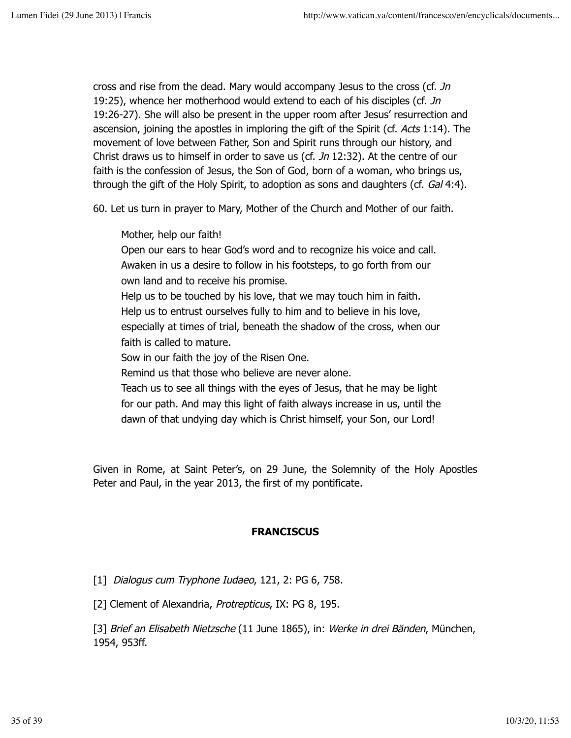cross and rise from the dead. Mary would accompany Jesus to the cross (cf. Jn 19:25), whence her motherhood would extend to each of his disciples (cf.  $Jn$ 19:26-27). She will also be present in the upper room after Jesus' resurrection and ascension, joining the apostles in imploring the gift of the Spirit (cf. Acts 1:14). The movement of love between Father, Son and Spirit runs through our history, and Christ draws us to himself in order to save us (cf.  $Jn$  12:32). At the centre of our faith is the confession of Jesus, the Son of God, born of a woman, who brings us, through the gift of the Holy Spirit, to adoption as sons and daughters (cf. Gal 4:4).

60. Let us turn in prayer to Mary, Mother of the Church and Mother of our faith.

Mother, help our faith!

Open our ears to hear God's word and to recognize his voice and call. Awaken in us a desire to follow in his footsteps, to go forth from our own land and to receive his promise.

Help us to be touched by his love, that we may touch him in faith. Help us to entrust ourselves fully to him and to believe in his love, especially at times of trial, beneath the shadow of the cross, when our faith is called to mature.

Sow in our faith the joy of the Risen One.

Remind us that those who believe are never alone.

Teach us to see all things with the eyes of Jesus, that he may be light for our path. And may this light of faith always increase in us, until the dawn of that undying day which is Christ himself, your Son, our Lord!

Given in Rome, at Saint Peter's, on 29 June, the Solemnity of the Holy Apostles Peter and Paul, in the year 2013, the first of my pontificate.

#### **FRANCISCUS**

[1] Dialogus cum Tryphone Iudaeo, 121, 2: PG 6, 758.

[2] Clement of Alexandria, *Protrepticus*, IX: PG 8, 195.

[3] Brief an Elisabeth Nietzsche (11 June 1865), in: Werke in drei Bänden, München, 1954, 953ff.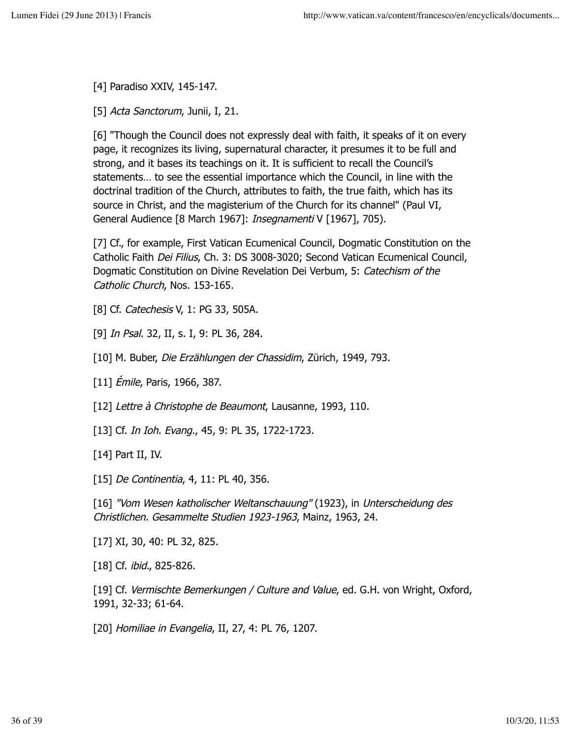[4] Paradiso XXIV, 145-147.

[5] Acta Sanctorum, Junii, I, 21.

[6] "Though the Council does not expressly deal with faith, it speaks of it on every page, it recognizes its living, supernatural character, it presumes it to be full and strong, and it bases its teachings on it. It is sufficient to recall the Council's statements… to see the essential importance which the Council, in line with the doctrinal tradition of the Church, attributes to faith, the true faith, which has its source in Christ, and the magisterium of the Church for its channel" (Paul VI, General Audience [8 March 1967]: Insegnamenti V [1967], 705).

[7] Cf., for example, First Vatican Ecumenical Council, Dogmatic Constitution on the Catholic Faith Dei Filius, Ch. 3: DS 3008-3020; Second Vatican Ecumenical Council, Dogmatic Constitution on Divine Revelation Dei Verbum, 5: Catechism of the Catholic Church, Nos. 153-165.

[8] Cf. *Catechesis* V, 1: PG 33, 505A.

[9] *In Psal*. 32, II, s. I, 9: PL 36, 284.

[10] M. Buber, Die Erzählungen der Chassidim, Zürich, 1949, 793.

[11] *Émile*, Paris, 1966, 387.

[12] Lettre à Christophe de Beaumont, Lausanne, 1993, 110.

[13] Cf. In Ioh. Evang., 45, 9: PL 35, 1722-1723.

[14] Part II, IV.

[15] *De Continentia*, 4, 11: PL 40, 356.

[16] "Vom Wesen katholischer Weltanschauung" (1923), in Unterscheidung des Christlichen. Gesammelte Studien 1923-1963, Mainz, 1963, 24.

[17] XI, 30, 40: PL 32, 825.

[18] Cf. *ibid.*, 825-826.

[19] Cf. Vermischte Bemerkungen / Culture and Value, ed. G.H. von Wright, Oxford, 1991, 32-33; 61-64.

[20] Homiliae in Evangelia, II, 27, 4: PL 76, 1207.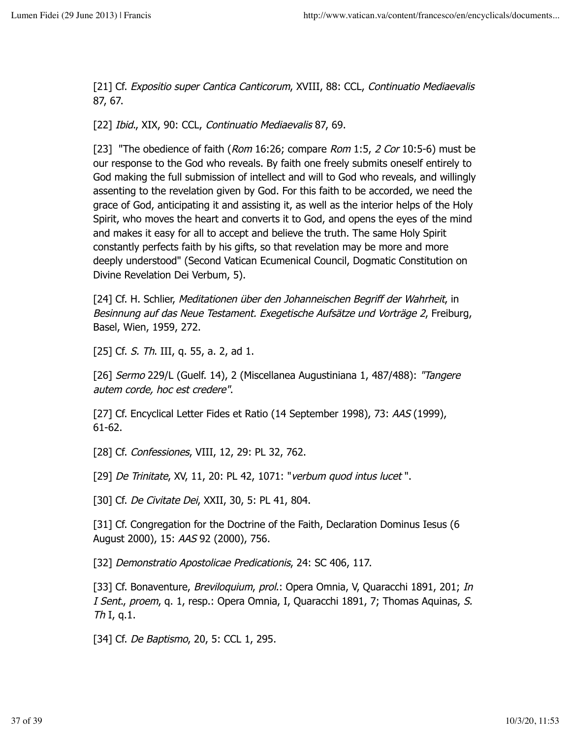[21] Cf. Expositio super Cantica Canticorum, XVIII, 88: CCL, Continuatio Mediaevalis 87, 67.

[22] Ibid., XIX, 90: CCL, Continuatio Mediaevalis 87, 69.

[23] "The obedience of faith ( $Rom 16:26$ ; compare  $Rom 1:5, 2 Cor 10:5-6$ ) must be our response to the God who reveals. By faith one freely submits oneself entirely to God making the full submission of intellect and will to God who reveals, and willingly assenting to the revelation given by God. For this faith to be accorded, we need the grace of God, anticipating it and assisting it, as well as the interior helps of the Holy Spirit, who moves the heart and converts it to God, and opens the eyes of the mind and makes it easy for all to accept and believe the truth. The same Holy Spirit constantly perfects faith by his gifts, so that revelation may be more and more deeply understood" (Second Vatican Ecumenical Council, Dogmatic Constitution on Divine Revelation Dei Verbum, 5).

[24] Cf. H. Schlier, Meditationen über den Johanneischen Begriff der Wahrheit, in Besinnung auf das Neue Testament. Exegetische Aufsätze und Vorträge 2, Freiburg, Basel, Wien, 1959, 272.

[25] Cf. *S. Th*. III, q. 55, a. 2, ad 1.

[26] Sermo 229/L (Guelf. 14), 2 (Miscellanea Augustiniana 1, 487/488): "Tangere autem corde, hoc est credere".

[27] Cf. Encyclical Letter Fides et Ratio (14 September 1998), 73: AAS (1999), 61-62.

[28] Cf. Confessiones, VIII, 12, 29: PL 32, 762.

[29] De Trinitate, XV, 11, 20: PL 42, 1071: "verbum quod intus lucet".

[30] Cf. *De Civitate Dei*, XXII, 30, 5: PL 41, 804.

[31] Cf. Congregation for the Doctrine of the Faith, Declaration Dominus Iesus (6 August 2000), 15: AAS 92 (2000), 756.

[32] Demonstratio Apostolicae Predicationis, 24: SC 406, 117.

[33] Cf. Bonaventure, *Breviloquium, prol.*: Opera Omnia, V, Quaracchi 1891, 201; *In* I Sent., proem, q. 1, resp.: Opera Omnia, I, Quaracchi 1891, 7; Thomas Aquinas, S. Th I, q.1.

[34] Cf. *De Baptismo*, 20, 5: CCL 1, 295.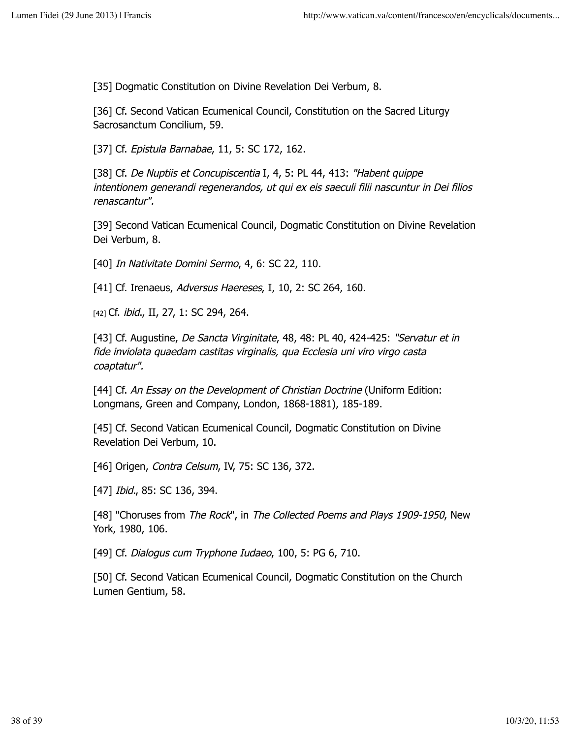[35] Dogmatic Constitution on Divine Revelation Dei Verbum, 8.

[36] Cf. Second Vatican Ecumenical Council, Constitution on the Sacred Liturgy Sacrosanctum Concilium, 59.

[37] Cf. Epistula Barnabae, 11, 5: SC 172, 162.

[38] Cf. De Nuptiis et Concupiscentia I, 4, 5: PL 44, 413: "Habent quippe intentionem generandi regenerandos, ut qui ex eis saeculi filii nascuntur in Dei filios renascantur".

[39] Second Vatican Ecumenical Council, Dogmatic Constitution on Divine Revelation Dei Verbum, 8.

[40] In Nativitate Domini Sermo, 4, 6: SC 22, 110.

[41] Cf. Irenaeus, Adversus Haereses, I, 10, 2: SC 264, 160.

[42] Cf. *ibid.*, II, 27, 1: SC 294, 264.

[43] Cf. Augustine, De Sancta Virginitate, 48, 48: PL 40, 424-425: "Servatur et in fide inviolata quaedam castitas virginalis, qua Ecclesia uni viro virgo casta coaptatur".

[44] Cf. An Essay on the Development of Christian Doctrine (Uniform Edition: Longmans, Green and Company, London, 1868-1881), 185-189.

[45] Cf. Second Vatican Ecumenical Council, Dogmatic Constitution on Divine Revelation Dei Verbum, 10.

[46] Origen, *Contra Celsum*, IV, 75: SC 136, 372.

[47] *Ibid.*, 85: SC 136, 394.

[48] "Choruses from The Rock", in The Collected Poems and Plays 1909-1950, New York, 1980, 106.

[49] Cf. Dialogus cum Tryphone Iudaeo, 100, 5: PG 6, 710.

[50] Cf. Second Vatican Ecumenical Council, Dogmatic Constitution on the Church Lumen Gentium, 58.